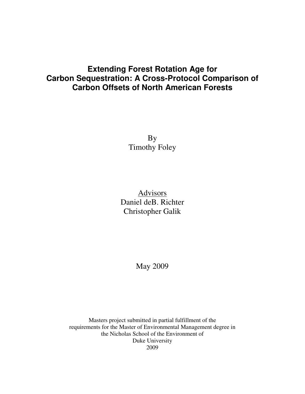# **Extending Forest Rotation Age for Carbon Sequestration: A Cross-Protocol Comparison of Carbon Offsets of North American Forests**

By Timothy Foley

Advisors Daniel deB. Richter Christopher Galik

May 2009

Masters project submitted in partial fulfillment of the requirements for the Master of Environmental Management degree in the Nicholas School of the Environment of Duke University 2009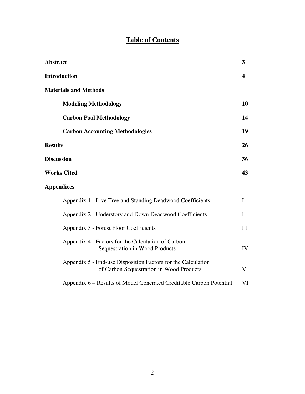# **Table of Contents**

| <b>Abstract</b>                                                                                          | 3                       |
|----------------------------------------------------------------------------------------------------------|-------------------------|
| <b>Introduction</b>                                                                                      | $\overline{\mathbf{4}}$ |
| <b>Materials and Methods</b>                                                                             |                         |
| <b>Modeling Methodology</b>                                                                              | 10                      |
| <b>Carbon Pool Methodology</b>                                                                           | 14                      |
| <b>Carbon Accounting Methodologies</b>                                                                   | 19                      |
| <b>Results</b>                                                                                           | 26                      |
| <b>Discussion</b>                                                                                        | 36                      |
| <b>Works Cited</b>                                                                                       | 43                      |
| <b>Appendices</b>                                                                                        |                         |
| Appendix 1 - Live Tree and Standing Deadwood Coefficients                                                | I                       |
| Appendix 2 - Understory and Down Deadwood Coefficients                                                   | $\mathbf{I}$            |
| Appendix 3 - Forest Floor Coefficients                                                                   | III                     |
| Appendix 4 - Factors for the Calculation of Carbon<br>Sequestration in Wood Products                     | IV                      |
| Appendix 5 - End-use Disposition Factors for the Calculation<br>of Carbon Sequestration in Wood Products | V                       |
| Appendix 6 – Results of Model Generated Creditable Carbon Potential                                      | VI                      |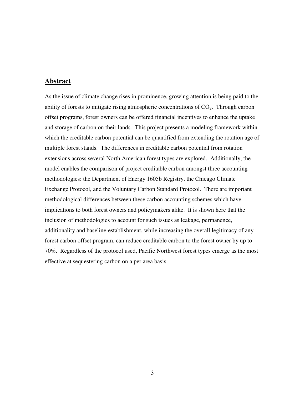# **Abstract**

As the issue of climate change rises in prominence, growing attention is being paid to the ability of forests to mitigate rising atmospheric concentrations of  $CO<sub>2</sub>$ . Through carbon offset programs, forest owners can be offered financial incentives to enhance the uptake and storage of carbon on their lands. This project presents a modeling framework within which the creditable carbon potential can be quantified from extending the rotation age of multiple forest stands. The differences in creditable carbon potential from rotation extensions across several North American forest types are explored. Additionally, the model enables the comparison of project creditable carbon amongst three accounting methodologies: the Department of Energy 1605b Registry, the Chicago Climate Exchange Protocol, and the Voluntary Carbon Standard Protocol. There are important methodological differences between these carbon accounting schemes which have implications to both forest owners and policymakers alike. It is shown here that the inclusion of methodologies to account for such issues as leakage, permanence, additionality and baseline-establishment, while increasing the overall legitimacy of any forest carbon offset program, can reduce creditable carbon to the forest owner by up to 70%. Regardless of the protocol used, Pacific Northwest forest types emerge as the most effective at sequestering carbon on a per area basis.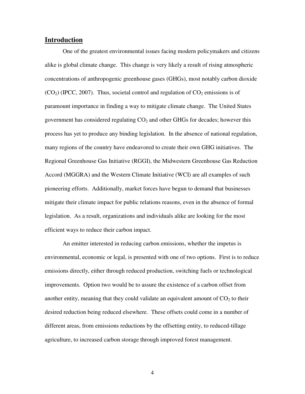# **Introduction**

 One of the greatest environmental issues facing modern policymakers and citizens alike is global climate change. This change is very likely a result of rising atmospheric concentrations of anthropogenic greenhouse gases (GHGs), most notably carbon dioxide  $(CO<sub>2</sub>)$  (IPCC, 2007). Thus, societal control and regulation of  $CO<sub>2</sub>$  emissions is of paramount importance in finding a way to mitigate climate change. The United States government has considered regulating  $CO<sub>2</sub>$  and other GHGs for decades; however this process has yet to produce any binding legislation. In the absence of national regulation, many regions of the country have endeavored to create their own GHG initiatives. The Regional Greenhouse Gas Initiative (RGGI), the Midwestern Greenhouse Gas Reduction Accord (MGGRA) and the Western Climate Initiative (WCI) are all examples of such pioneering efforts. Additionally, market forces have begun to demand that businesses mitigate their climate impact for public relations reasons, even in the absence of formal legislation. As a result, organizations and individuals alike are looking for the most efficient ways to reduce their carbon impact.

An emitter interested in reducing carbon emissions, whether the impetus is environmental, economic or legal, is presented with one of two options. First is to reduce emissions directly, either through reduced production, switching fuels or technological improvements. Option two would be to assure the existence of a carbon offset from another entity, meaning that they could validate an equivalent amount of  $CO<sub>2</sub>$  to their desired reduction being reduced elsewhere. These offsets could come in a number of different areas, from emissions reductions by the offsetting entity, to reduced-tillage agriculture, to increased carbon storage through improved forest management.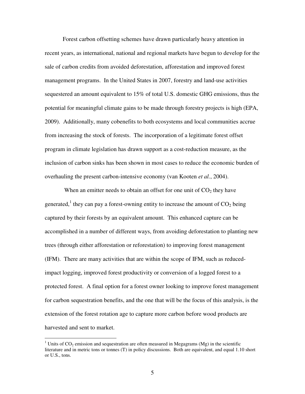Forest carbon offsetting schemes have drawn particularly heavy attention in recent years, as international, national and regional markets have begun to develop for the sale of carbon credits from avoided deforestation, afforestation and improved forest management programs. In the United States in 2007, forestry and land-use activities sequestered an amount equivalent to 15% of total U.S. domestic GHG emissions, thus the potential for meaningful climate gains to be made through forestry projects is high (EPA, 2009). Additionally, many cobenefits to both ecosystems and local communities accrue from increasing the stock of forests. The incorporation of a legitimate forest offset program in climate legislation has drawn support as a cost-reduction measure, as the inclusion of carbon sinks has been shown in most cases to reduce the economic burden of overhauling the present carbon-intensive economy (van Kooten *et al.*, 2004).

When an emitter needs to obtain an offset for one unit of  $CO<sub>2</sub>$  they have generated,<sup>1</sup> they can pay a forest-owning entity to increase the amount of  $CO_2$  being captured by their forests by an equivalent amount. This enhanced capture can be accomplished in a number of different ways, from avoiding deforestation to planting new trees (through either afforestation or reforestation) to improving forest management (IFM). There are many activities that are within the scope of IFM, such as reducedimpact logging, improved forest productivity or conversion of a logged forest to a protected forest. A final option for a forest owner looking to improve forest management for carbon sequestration benefits, and the one that will be the focus of this analysis, is the extension of the forest rotation age to capture more carbon before wood products are harvested and sent to market.

 $\overline{a}$ 

<sup>&</sup>lt;sup>1</sup> Units of  $CO_2$  emission and sequestration are often measured in Megagrams (Mg) in the scientific literature and in metric tons or tonnes (T) in policy discussions. Both are equivalent, and equal 1.10 short or U.S., tons.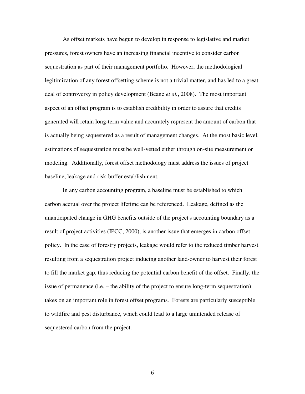As offset markets have begun to develop in response to legislative and market pressures, forest owners have an increasing financial incentive to consider carbon sequestration as part of their management portfolio. However, the methodological legitimization of any forest offsetting scheme is not a trivial matter, and has led to a great deal of controversy in policy development (Beane *et al.*, 2008). The most important aspect of an offset program is to establish credibility in order to assure that credits generated will retain long-term value and accurately represent the amount of carbon that is actually being sequestered as a result of management changes. At the most basic level, estimations of sequestration must be well-vetted either through on-site measurement or modeling. Additionally, forest offset methodology must address the issues of project baseline, leakage and risk-buffer establishment.

 In any carbon accounting program, a baseline must be established to which carbon accrual over the project lifetime can be referenced. Leakage, defined as the unanticipated change in GHG benefits outside of the project's accounting boundary as a result of project activities (IPCC, 2000), is another issue that emerges in carbon offset policy. In the case of forestry projects, leakage would refer to the reduced timber harvest resulting from a sequestration project inducing another land-owner to harvest their forest to fill the market gap, thus reducing the potential carbon benefit of the offset. Finally, the issue of permanence (i.e. – the ability of the project to ensure long-term sequestration) takes on an important role in forest offset programs. Forests are particularly susceptible to wildfire and pest disturbance, which could lead to a large unintended release of sequestered carbon from the project.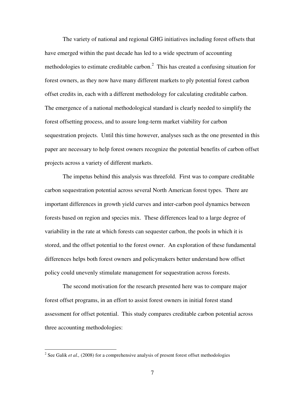The variety of national and regional GHG initiatives including forest offsets that have emerged within the past decade has led to a wide spectrum of accounting methodologies to estimate creditable carbon. $<sup>2</sup>$  This has created a confusing situation for</sup> forest owners, as they now have many different markets to ply potential forest carbon offset credits in, each with a different methodology for calculating creditable carbon. The emergence of a national methodological standard is clearly needed to simplify the forest offsetting process, and to assure long-term market viability for carbon sequestration projects. Until this time however, analyses such as the one presented in this paper are necessary to help forest owners recognize the potential benefits of carbon offset projects across a variety of different markets.

 The impetus behind this analysis was threefold. First was to compare creditable carbon sequestration potential across several North American forest types. There are important differences in growth yield curves and inter-carbon pool dynamics between forests based on region and species mix. These differences lead to a large degree of variability in the rate at which forests can sequester carbon, the pools in which it is stored, and the offset potential to the forest owner. An exploration of these fundamental differences helps both forest owners and policymakers better understand how offset policy could unevenly stimulate management for sequestration across forests.

 The second motivation for the research presented here was to compare major forest offset programs, in an effort to assist forest owners in initial forest stand assessment for offset potential. This study compares creditable carbon potential across three accounting methodologies:

 $\overline{a}$ 

<sup>&</sup>lt;sup>2</sup> See Galik *et al.*, (2008) for a comprehensive analysis of present forest offset methodologies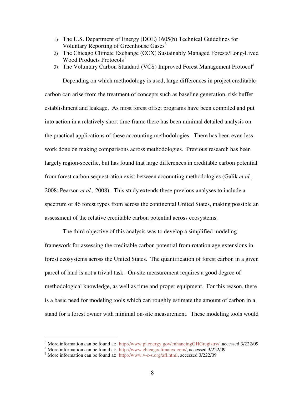- 1) The U.S. Department of Energy (DOE) 1605(b) Technical Guidelines for Voluntary Reporting of Greenhouse Gases<sup>3</sup>
- 2) The Chicago Climate Exchange (CCX) Sustainably Managed Forests/Long-Lived Wood Products Protocols<sup>4</sup>
- 3) The Voluntary Carbon Standard (VCS) Improved Forest Management Protocol<sup>5</sup>

 Depending on which methodology is used, large differences in project creditable carbon can arise from the treatment of concepts such as baseline generation, risk buffer establishment and leakage. As most forest offset programs have been compiled and put into action in a relatively short time frame there has been minimal detailed analysis on the practical applications of these accounting methodologies. There has been even less work done on making comparisons across methodologies. Previous research has been largely region-specific, but has found that large differences in creditable carbon potential from forest carbon sequestration exist between accounting methodologies (Galik *et al.*, 2008; Pearson *et al.,* 2008). This study extends these previous analyses to include a spectrum of 46 forest types from across the continental United States, making possible an assessment of the relative creditable carbon potential across ecosystems.

 The third objective of this analysis was to develop a simplified modeling framework for assessing the creditable carbon potential from rotation age extensions in forest ecosystems across the United States. The quantification of forest carbon in a given parcel of land is not a trivial task. On-site measurement requires a good degree of methodological knowledge, as well as time and proper equipment. For this reason, there is a basic need for modeling tools which can roughly estimate the amount of carbon in a stand for a forest owner with minimal on-site measurement. These modeling tools would

<sup>&</sup>lt;sup>3</sup> More information can be found at: http://www.pi.energy.gov/enhancingGHGregistry/, accessed 3/222/09

<sup>&</sup>lt;sup>4</sup> More information can be found at: http://www.chicagoclimatex.com/, accessed 3/222/09

<sup>&</sup>lt;sup>5</sup> More information can be found at: http://www.v-c-s.org/afl.html, accessed 3/222/09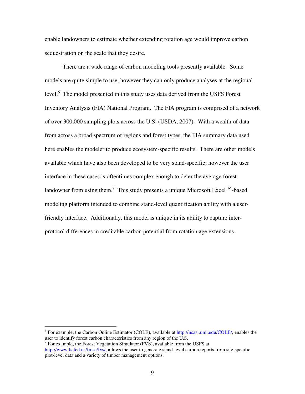enable landowners to estimate whether extending rotation age would improve carbon sequestration on the scale that they desire.

 There are a wide range of carbon modeling tools presently available. Some models are quite simple to use, however they can only produce analyses at the regional level.<sup>6</sup> The model presented in this study uses data derived from the USFS Forest Inventory Analysis (FIA) National Program. The FIA program is comprised of a network of over 300,000 sampling plots across the U.S. (USDA, 2007). With a wealth of data from across a broad spectrum of regions and forest types, the FIA summary data used here enables the modeler to produce ecosystem-specific results. There are other models available which have also been developed to be very stand-specific; however the user interface in these cases is oftentimes complex enough to deter the average forest landowner from using them.<sup>7</sup> This study presents a unique Microsoft Excel<sup>TM</sup>-based modeling platform intended to combine stand-level quantification ability with a userfriendly interface. Additionally, this model is unique in its ability to capture interprotocol differences in creditable carbon potential from rotation age extensions.

<sup>6</sup> For example, the Carbon Online Estimator (COLE), available at http://ncasi.uml.edu/COLE/, enables the user to identify forest carbon characteristics from any region of the U.S.

 $7$  For example, the Forest Vegetation Simulator (FVS), available from the USFS at http://www.fs.fed.us/fmsc/fvs/, allows the user to generate stand-level carbon reports from site-specific plot-level data and a variety of timber management options.

 $\overline{a}$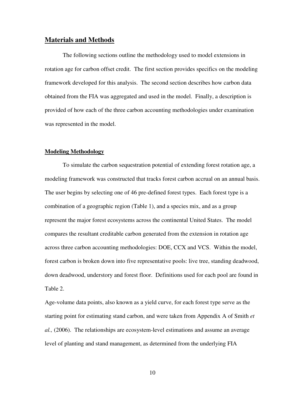# **Materials and Methods**

 The following sections outline the methodology used to model extensions in rotation age for carbon offset credit. The first section provides specifics on the modeling framework developed for this analysis. The second section describes how carbon data obtained from the FIA was aggregated and used in the model. Finally, a description is provided of how each of the three carbon accounting methodologies under examination was represented in the model.

#### **Modeling Methodology**

 To simulate the carbon sequestration potential of extending forest rotation age, a modeling framework was constructed that tracks forest carbon accrual on an annual basis. The user begins by selecting one of 46 pre-defined forest types. Each forest type is a combination of a geographic region (Table 1), and a species mix, and as a group represent the major forest ecosystems across the continental United States. The model compares the resultant creditable carbon generated from the extension in rotation age across three carbon accounting methodologies: DOE, CCX and VCS. Within the model, forest carbon is broken down into five representative pools: live tree, standing deadwood, down deadwood, understory and forest floor. Definitions used for each pool are found in Table 2.

Age-volume data points, also known as a yield curve, for each forest type serve as the starting point for estimating stand carbon, and were taken from Appendix A of Smith *et al.,* (2006). The relationships are ecosystem-level estimations and assume an average level of planting and stand management, as determined from the underlying FIA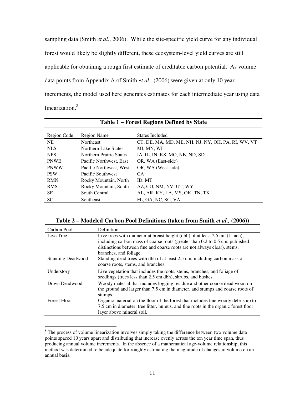sampling data (Smith *et al.*, 2006). While the site-specific yield curve for any individual forest would likely be slightly different, these ecosystem-level yield curves are still applicable for obtaining a rough first estimate of creditable carbon potential. As volume data points from Appendix A of Smith *et al.,* (2006) were given at only 10 year increments, the model used here generates estimates for each intermediate year using data linearization.<sup>8</sup>

| Table 1 – Forest Regions Defined by State |                                |                                                    |  |  |  |  |
|-------------------------------------------|--------------------------------|----------------------------------------------------|--|--|--|--|
| Region Code                               | Region Name<br>States Included |                                                    |  |  |  |  |
| <b>NE</b>                                 | <b>Northeast</b>               | CT, DE, MA, MD, ME, NH, NJ, NY, OH, PA, RI, WV, VT |  |  |  |  |
| <b>NLS</b>                                | Northern Lake States           | MI, MN, WI                                         |  |  |  |  |
| <b>NPS</b>                                | Northern Prairie States        | IA, IL, IN, KS, MO, NB, ND, SD                     |  |  |  |  |
| <b>PNWE</b>                               | Pacific Northwest, East        | OR, WA (East-side)                                 |  |  |  |  |
| <b>PNWW</b>                               | Pacific Northwest, West        | OR, WA (West-side)                                 |  |  |  |  |
| <b>PSW</b>                                | Pacific Southwest              | CA.                                                |  |  |  |  |
| <b>RMN</b>                                | Rocky Mountain, North          | ID, MT                                             |  |  |  |  |
| <b>RMS</b>                                | Rocky Mountain, South          | AZ, CO, NM, NV, UT, WY                             |  |  |  |  |
| <b>SE</b>                                 | South Central                  | AL, AR, KY, LA, MS, OK, TN, TX                     |  |  |  |  |
| <b>SC</b>                                 | Southeast                      | FL, GA, NC, SC, VA                                 |  |  |  |  |

|                          | Table 2 – Modeled Carbon Pool Definitions (taken from Smith et al., (2006))                                                                                                                                                                                                  |  |  |  |
|--------------------------|------------------------------------------------------------------------------------------------------------------------------------------------------------------------------------------------------------------------------------------------------------------------------|--|--|--|
| Carbon Pool              | Definition                                                                                                                                                                                                                                                                   |  |  |  |
| Live Tree                | Live trees with diameter at breast height (dbh) of at least $2.5 \text{ cm}$ (1 inch),<br>including carbon mass of coarse roots (greater than 0.2 to 0.5 cm, published<br>distinctions between fine and coarse roots are not always clear), stems,<br>branches, and foliage. |  |  |  |
| <b>Standing Deadwood</b> | Standing dead trees with dbh of at least 2.5 cm, including carbon mass of<br>coarse roots, stems, and branches.                                                                                                                                                              |  |  |  |
| Understory               | Live vegetation that includes the roots, stems, branches, and foliage of<br>seedlings (trees less than 2.5 cm dbh), shrubs, and bushes.                                                                                                                                      |  |  |  |
| Down Deadwood            | Woody material that includes logging residue and other coarse dead wood on<br>the ground and larger than 7.5 cm in diameter, and stumps and coarse roots of<br>stumps.                                                                                                       |  |  |  |
| <b>Forest Floor</b>      | Organic material on the floor of the forest that includes fine woody debris up to<br>7.5 cm in diameter, tree litter, humus, and fine roots in the organic forest floor<br>layer above mineral soil.                                                                         |  |  |  |

<sup>&</sup>lt;sup>8</sup> The process of volume linearization involves simply taking the difference between two volume data points spaced 10 years apart and distributing that increase evenly across the ten year time span, thus producing annual volume increments. In the absence of a mathematical age-volume relationship, this method was determined to be adequate for roughly estimating the magnitude of changes in volume on an annual basis.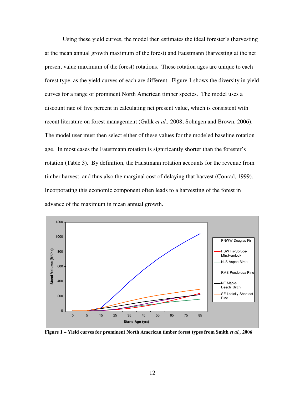Using these yield curves, the model then estimates the ideal forester's (harvesting at the mean annual growth maximum of the forest) and Faustmann (harvesting at the net present value maximum of the forest) rotations. These rotation ages are unique to each forest type, as the yield curves of each are different. Figure 1 shows the diversity in yield curves for a range of prominent North American timber species. The model uses a discount rate of five percent in calculating net present value, which is consistent with recent literature on forest management (Galik *et al.,* 2008; Sohngen and Brown, 2006). The model user must then select either of these values for the modeled baseline rotation age. In most cases the Faustmann rotation is significantly shorter than the forester's rotation (Table 3). By definition, the Faustmann rotation accounts for the revenue from timber harvest, and thus also the marginal cost of delaying that harvest (Conrad, 1999). Incorporating this economic component often leads to a harvesting of the forest in advance of the maximum in mean annual growth.



**Figure 1 – Yield curves for prominent North American timber forest types from Smith** *et al.,* **2006**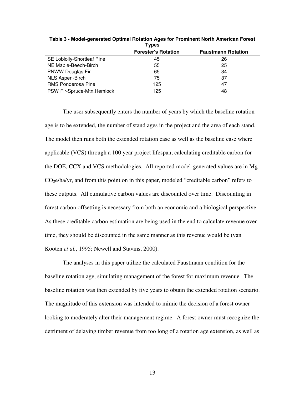| Table 3 - Model-generated Optimal Rotation Ages for Prominent North American Forest<br>Types |     |    |  |  |  |
|----------------------------------------------------------------------------------------------|-----|----|--|--|--|
| <b>Forester's Rotation</b><br><b>Faustmann Rotation</b>                                      |     |    |  |  |  |
| SE Loblolly-Shortleaf Pine                                                                   | 45  | 26 |  |  |  |
| NE Maple-Beech-Birch                                                                         | 55  | 25 |  |  |  |
| <b>PNWW Douglas Fir</b>                                                                      | 65  | 34 |  |  |  |
| <b>NLS Aspen-Birch</b>                                                                       | 75  | 37 |  |  |  |
| <b>RMS Ponderosa Pine</b>                                                                    | 125 | 47 |  |  |  |
| PSW Fir-Spruce-Mtn.Hemlock                                                                   | 125 | 48 |  |  |  |

**Table 3 - Model-generated Optimal Rotation Ages for Prominent North American Forest** 

The user subsequently enters the number of years by which the baseline rotation age is to be extended, the number of stand ages in the project and the area of each stand. The model then runs both the extended rotation case as well as the baseline case where applicable (VCS) through a 100 year project lifespan, calculating creditable carbon for the DOE, CCX and VCS methodologies. All reported model-generated values are in Mg CO2e/ha/yr, and from this point on in this paper, modeled "creditable carbon" refers to these outputs. All cumulative carbon values are discounted over time. Discounting in forest carbon offsetting is necessary from both an economic and a biological perspective. As these creditable carbon estimation are being used in the end to calculate revenue over time, they should be discounted in the same manner as this revenue would be (van Kooten *et al.*, 1995; Newell and Stavins, 2000).

The analyses in this paper utilize the calculated Faustmann condition for the baseline rotation age, simulating management of the forest for maximum revenue. The baseline rotation was then extended by five years to obtain the extended rotation scenario. The magnitude of this extension was intended to mimic the decision of a forest owner looking to moderately alter their management regime. A forest owner must recognize the detriment of delaying timber revenue from too long of a rotation age extension, as well as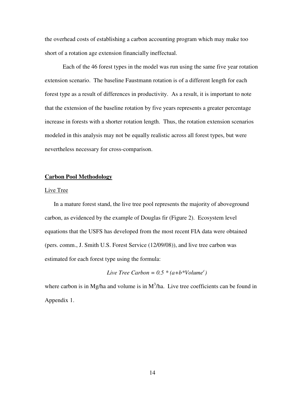the overhead costs of establishing a carbon accounting program which may make too short of a rotation age extension financially ineffectual.

Each of the 46 forest types in the model was run using the same five year rotation extension scenario. The baseline Faustmann rotation is of a different length for each forest type as a result of differences in productivity. As a result, it is important to note that the extension of the baseline rotation by five years represents a greater percentage increase in forests with a shorter rotation length. Thus, the rotation extension scenarios modeled in this analysis may not be equally realistic across all forest types, but were nevertheless necessary for cross-comparison.

#### **Carbon Pool Methodology**

#### Live Tree

In a mature forest stand, the live tree pool represents the majority of aboveground carbon, as evidenced by the example of Douglas fir (Figure 2). Ecosystem level equations that the USFS has developed from the most recent FIA data were obtained (pers. comm., J. Smith U.S. Forest Service (12/09/08)), and live tree carbon was estimated for each forest type using the formula:

*Live Tree Carbon* =  $0.5 * (a+b*Volume^c)$ 

where carbon is in Mg/ha and volume is in  $M^3/h$ a. Live tree coefficients can be found in Appendix 1.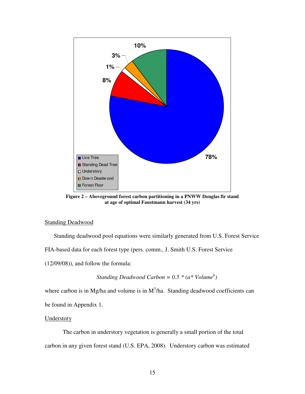

**Figure 2 – Aboveground forest carbon partitioning in a PNWW Douglas fir stand at age of optimal Faustmann harvest (34 yrs)** 

## Standing Deadwood

Standing deadwood pool equations were similarly generated from U.S. Forest Service FIA-based data for each forest type (pers. comm., J. Smith U.S. Forest Service (12/09/08)), and follow the formula:

*Standing Deadwood Carbon = 0.5 \* (a\* Volume<sup>b</sup> )* 

where carbon is in Mg/ha and volume is in  $M^3/h$ a. Standing deadwood coefficients can

be found in Appendix 1.

## Understory

The carbon in understory vegetation is generally a small portion of the total carbon in any given forest stand (U.S. EPA, 2008). Understory carbon was estimated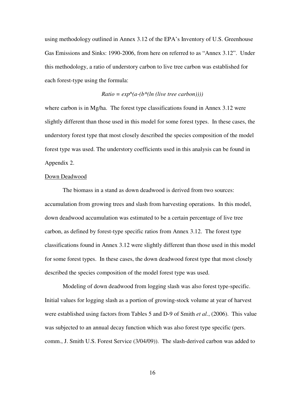using methodology outlined in Annex 3.12 of the EPA's Inventory of U.S. Greenhouse Gas Emissions and Sinks: 1990-2006, from here on referred to as "Annex 3.12". Under this methodology, a ratio of understory carbon to live tree carbon was established for each forest-type using the formula:

#### $Ratio = exp<sup>0</sup>(a-(b<sup>*</sup>(ln (live tree carbon))))$

where carbon is in Mg/ha. The forest type classifications found in Annex 3.12 were slightly different than those used in this model for some forest types. In these cases, the understory forest type that most closely described the species composition of the model forest type was used. The understory coefficients used in this analysis can be found in Appendix 2.

#### Down Deadwood

 The biomass in a stand as down deadwood is derived from two sources: accumulation from growing trees and slash from harvesting operations. In this model, down deadwood accumulation was estimated to be a certain percentage of live tree carbon, as defined by forest-type specific ratios from Annex 3.12. The forest type classifications found in Annex 3.12 were slightly different than those used in this model for some forest types. In these cases, the down deadwood forest type that most closely described the species composition of the model forest type was used.

 Modeling of down deadwood from logging slash was also forest type-specific. Initial values for logging slash as a portion of growing-stock volume at year of harvest were established using factors from Tables 5 and D-9 of Smith *et al.*, (2006). This value was subjected to an annual decay function which was also forest type specific (pers. comm., J. Smith U.S. Forest Service (3/04/09)). The slash-derived carbon was added to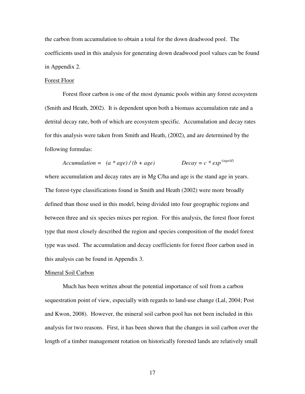the carbon from accumulation to obtain a total for the down deadwood pool. The coefficients used in this analysis for generating down deadwood pool values can be found in Appendix 2.

#### Forest Floor

Forest floor carbon is one of the most dynamic pools within any forest ecosystem (Smith and Heath, 2002). It is dependent upon both a biomass accumulation rate and a detrital decay rate, both of which are ecosystem specific. Accumulation and decay rates for this analysis were taken from Smith and Heath, (2002), and are determined by the following formulas:

$$
Accumulation = (a * age) / (b + age) \qquad \qquad Decay = c * exp^{-(age/d)}
$$

where accumulation and decay rates are in Mg C/ha and age is the stand age in years. The forest-type classifications found in Smith and Heath (2002) were more broadly defined than those used in this model, being divided into four geographic regions and between three and six species mixes per region. For this analysis, the forest floor forest type that most closely described the region and species composition of the model forest type was used. The accumulation and decay coefficients for forest floor carbon used in this analysis can be found in Appendix 3.

# Mineral Soil Carbon

Much has been written about the potential importance of soil from a carbon sequestration point of view, especially with regards to land-use change (Lal, 2004; Post and Kwon, 2008). However, the mineral soil carbon pool has not been included in this analysis for two reasons. First, it has been shown that the changes in soil carbon over the length of a timber management rotation on historically forested lands are relatively small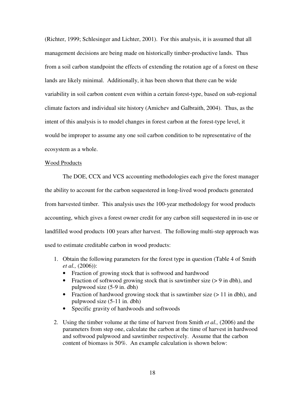(Richter, 1999; Schlesinger and Lichter, 2001). For this analysis, it is assumed that all management decisions are being made on historically timber-productive lands. Thus from a soil carbon standpoint the effects of extending the rotation age of a forest on these lands are likely minimal. Additionally, it has been shown that there can be wide variability in soil carbon content even within a certain forest-type, based on sub-regional climate factors and individual site history (Amichev and Galbraith, 2004). Thus, as the intent of this analysis is to model changes in forest carbon at the forest-type level, it would be improper to assume any one soil carbon condition to be representative of the ecosystem as a whole.

#### Wood Products

 The DOE, CCX and VCS accounting methodologies each give the forest manager the ability to account for the carbon sequestered in long-lived wood products generated from harvested timber. This analysis uses the 100-year methodology for wood products accounting, which gives a forest owner credit for any carbon still sequestered in in-use or landfilled wood products 100 years after harvest. The following multi-step approach was used to estimate creditable carbon in wood products:

- 1. Obtain the following parameters for the forest type in question (Table 4 of Smith *et al.,* (2006)):
	- Fraction of growing stock that is softwood and hardwood
	- Fraction of softwood growing stock that is sawtimber size  $(> 9 \text{ in dbh})$ , and pulpwood size (5-9 in. dbh)
	- Fraction of hardwood growing stock that is sawtimber size ( $> 11$  in dbh), and pulpwood size (5-11 in. dbh)
	- Specific gravity of hardwoods and softwoods
- 2. Using the timber volume at the time of harvest from Smith *et al.,* (2006) and the parameters from step one, calculate the carbon at the time of harvest in hardwood and softwood pulpwood and sawtimber respectively. Assume that the carbon content of biomass is 50%. An example calculation is shown below: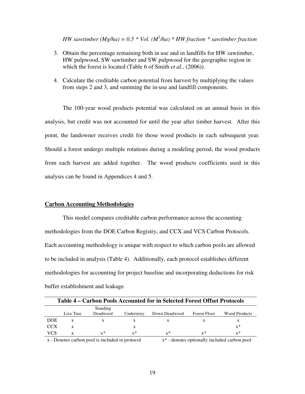*HW sawtimber (Mg/ha)* =  $0.5 * Vol.$  ( $M^3/ha$ )  $* HW$  fraction  $*$  sawtimber fraction

- 3. Obtain the percentage remaining both in use and in landfills for HW sawtimber, HW pulpwood, SW sawtimber and SW pulpwood for the geographic region in which the forest is located (Table 6 of Smith *et al.,* (2006)).
- 4. Calculate the creditable carbon potential from harvest by multiplying the values from steps 2 and 3, and summing the in-use and landfill components.

 The 100-year wood products potential was calculated on an annual basis in this analysis, but credit was not accounted for until the year after timber harvest. After this point, the landowner receives credit for those wood products in each subsequent year. Should a forest undergo multiple rotations during a modeling period, the wood products from each harvest are added together. The wood products coefficients used in this analysis can be found in Appendices 4 and 5.

### **Carbon Accounting Methodologies**

This model compares creditable carbon performance across the accounting methodologies from the DOE Carbon Registry, and CCX and VCS Carbon Protocols. Each accounting methodology is unique with respect to which carbon pools are allowed to be included in analysis (Table 4). Additionally, each protocol establishes different methodologies for accounting for project baseline and incorporating deductions for risk buffer establishment and leakage.

| Table 4 – Carbon Pools Accounted for in Selected Forest Offset Protocols |           |                             |            |               |              |                      |
|--------------------------------------------------------------------------|-----------|-----------------------------|------------|---------------|--------------|----------------------|
|                                                                          | Live Tree | <b>Standing</b><br>Deadwood | Understory | Down Deadwood | Forest Floor | <b>Wood Products</b> |
| <b>DOE</b>                                                               |           |                             |            |               |              | x                    |
| <b>CCX</b>                                                               |           |                             |            |               |              | $x^*$                |
| VCS                                                                      |           | $x^*$                       | $x^*$      | $x^*$         | $x^*$        | $x^*$                |
|                                                                          |           |                             |            |               |              |                      |

 $x -$ Denotes carbon pool is included in protocol  $x^*$  - denotes optionally included carbon pool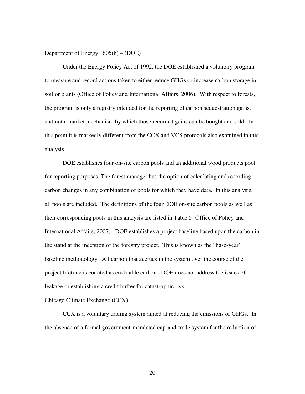#### Department of Energy 1605(b) – (DOE)

 Under the Energy Policy Act of 1992, the DOE established a voluntary program to measure and record actions taken to either reduce GHGs or increase carbon storage in soil or plants (Office of Policy and International Affairs, 2006). With respect to forests, the program is only a registry intended for the reporting of carbon sequestration gains, and not a market mechanism by which those recorded gains can be bought and sold. In this point it is markedly different from the CCX and VCS protocols also examined in this analysis.

 DOE establishes four on-site carbon pools and an additional wood products pool for reporting purposes. The forest manager has the option of calculating and recording carbon changes in any combination of pools for which they have data. In this analysis, all pools are included. The definitions of the four DOE on-site carbon pools as well as their corresponding pools in this analysis are listed in Table 5 (Office of Policy and International Affairs, 2007). DOE establishes a project baseline based upon the carbon in the stand at the inception of the forestry project. This is known as the "base-year" baseline methodology. All carbon that accrues in the system over the course of the project lifetime is counted as creditable carbon. DOE does not address the issues of leakage or establishing a credit buffer for catastrophic risk.

#### Chicago Climate Exchange (CCX)

 CCX is a voluntary trading system aimed at reducing the emissions of GHGs. In the absence of a formal government-mandated cap-and-trade system for the reduction of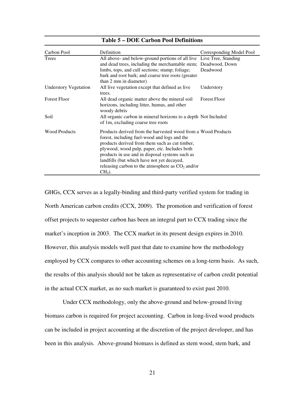| Carbon Pool                  | Definition                                                                                                                                                                                                                                                                                                                                                                          | Corresponding Model Pool |
|------------------------------|-------------------------------------------------------------------------------------------------------------------------------------------------------------------------------------------------------------------------------------------------------------------------------------------------------------------------------------------------------------------------------------|--------------------------|
| Trees                        | All above- and below-ground portions of all live Live Tree, Standing<br>and dead trees, including the merchantable stem; Deadwood, Down<br>limbs, tops, and cull sections; stump; foliage;<br>bark and root bark; and coarse tree roots (greater<br>than 2 mm in diameter)                                                                                                          | Deadwood                 |
| <b>Understory Vegetation</b> | All live vegetation except that defined as live<br>trees.                                                                                                                                                                                                                                                                                                                           | Understory               |
| <b>Forest Floor</b>          | All dead organic matter above the mineral soil<br>horizons, including litter, humus, and other<br>woody debris                                                                                                                                                                                                                                                                      | <b>Forest Floor</b>      |
| Soil                         | All organic carbon in mineral horizons to a depth Not Included<br>of 1m, excluding coarse tree roots                                                                                                                                                                                                                                                                                |                          |
| <b>Wood Products</b>         | Products derived from the harvested wood from a Wood Products<br>forest, including fuel-wood and logs and the<br>products derived from them such as cut timber,<br>plywood, wood pulp, paper, etc. Includes both<br>products in use and in disposal systems such as<br>landfills (but which have not yet decayed,<br>releasing carbon to the atmosphere as $CO2$ and/or<br>$CH4$ ). |                          |

## **Table 5 – DOE Carbon Pool Definitions**

GHGs, CCX serves as a legally-binding and third-party verified system for trading in North American carbon credits (CCX, 2009). The promotion and verification of forest offset projects to sequester carbon has been an integral part to CCX trading since the market's inception in 2003. The CCX market in its present design expires in 2010. However, this analysis models well past that date to examine how the methodology employed by CCX compares to other accounting schemes on a long-term basis. As such, the results of this analysis should not be taken as representative of carbon credit potential in the actual CCX market, as no such market is guaranteed to exist past 2010.

 Under CCX methodology, only the above-ground and below-ground living biomass carbon is required for project accounting. Carbon in long-lived wood products can be included in project accounting at the discretion of the project developer, and has been in this analysis. Above-ground biomass is defined as stem wood, stem bark, and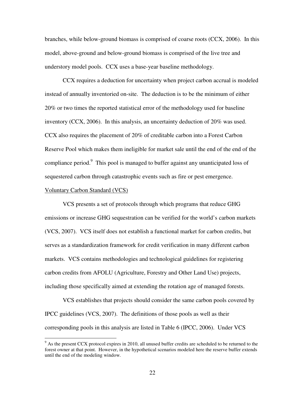branches, while below-ground biomass is comprised of coarse roots (CCX, 2006). In this model, above-ground and below-ground biomass is comprised of the live tree and understory model pools. CCX uses a base-year baseline methodology.

CCX requires a deduction for uncertainty when project carbon accrual is modeled instead of annually inventoried on-site. The deduction is to be the minimum of either 20% or two times the reported statistical error of the methodology used for baseline inventory (CCX, 2006). In this analysis, an uncertainty deduction of 20% was used. CCX also requires the placement of 20% of creditable carbon into a Forest Carbon Reserve Pool which makes them ineligible for market sale until the end of the end of the compliance period.<sup>9</sup> This pool is managed to buffer against any unanticipated loss of sequestered carbon through catastrophic events such as fire or pest emergence.

#### Voluntary Carbon Standard (VCS)

 $\overline{a}$ 

 VCS presents a set of protocols through which programs that reduce GHG emissions or increase GHG sequestration can be verified for the world's carbon markets (VCS, 2007). VCS itself does not establish a functional market for carbon credits, but serves as a standardization framework for credit verification in many different carbon markets. VCS contains methodologies and technological guidelines for registering carbon credits from AFOLU (Agriculture, Forestry and Other Land Use) projects, including those specifically aimed at extending the rotation age of managed forests.

VCS establishes that projects should consider the same carbon pools covered by IPCC guidelines (VCS, 2007). The definitions of those pools as well as their corresponding pools in this analysis are listed in Table 6 (IPCC, 2006). Under VCS

<sup>&</sup>lt;sup>9</sup> As the present CCX protocol expires in 2010, all unused buffer credits are scheduled to be returned to the forest owner at that point. However, in the hypothetical scenarios modeled here the reserve buffer extends until the end of the modeling window.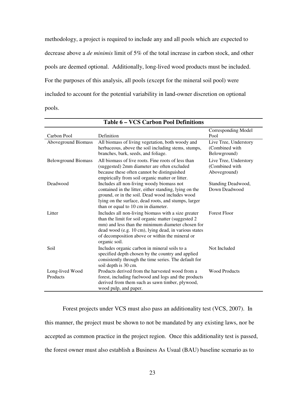methodology, a project is required to include any and all pools which are expected to decrease above a *de minimis* limit of 5% of the total increase in carbon stock, and other pools are deemed optional. Additionally, long-lived wood products must be included. For the purposes of this analysis, all pools (except for the mineral soil pool) were included to account for the potential variability in land-owner discretion on optional pools.

|                             |                                                                                                                                                                                                                                                                                               | <b>Corresponding Model</b>                               |
|-----------------------------|-----------------------------------------------------------------------------------------------------------------------------------------------------------------------------------------------------------------------------------------------------------------------------------------------|----------------------------------------------------------|
| Carbon Pool                 | Definition                                                                                                                                                                                                                                                                                    | Pool                                                     |
| Aboveground Biomass         | All biomass of living vegetation, both woody and                                                                                                                                                                                                                                              | Live Tree, Understory                                    |
|                             | herbaceous, above the soil including stems, stumps,<br>branches, bark, seeds, and foliage.                                                                                                                                                                                                    | (Combined with<br>Belowground)                           |
| <b>Belowground Biomass</b>  | All biomass of live roots. Fine roots of less than<br>(suggested) 2mm diameter are often excluded<br>because these often cannot be distinguished<br>empirically from soil organic matter or litter.                                                                                           | Live Tree, Understory<br>(Combined with)<br>Aboveground) |
| Deadwood                    | Includes all non-living woody biomass not<br>contained in the litter, either standing, lying on the<br>ground, or in the soil. Dead wood includes wood<br>lying on the surface, dead roots, and stumps, larger<br>than or equal to 10 cm in diameter.                                         | Standing Deadwood,<br>Down Deadwood                      |
| Litter                      | Includes all non-living biomass with a size greater<br>than the limit for soil organic matter (suggested 2)<br>mm) and less than the minimum diameter chosen for<br>dead wood (e.g. 10 cm), lying dead, in various states<br>of decomposition above or within the mineral or<br>organic soil. | <b>Forest Floor</b>                                      |
| Soil                        | Includes organic carbon in mineral soils to a<br>specified depth chosen by the country and applied<br>consistently through the time series. The default for<br>soil depth is 30 cm.                                                                                                           | Not Included                                             |
| Long-lived Wood<br>Products | Products derived from the harvested wood from a<br>forest, including fuelwood and logs and the products<br>derived from them such as sawn timber, plywood,<br>wood pulp, and paper.                                                                                                           | <b>Wood Products</b>                                     |

**Table 6 – VCS Carbon Pool Definitions** 

 Forest projects under VCS must also pass an additionality test (VCS, 2007). In this manner, the project must be shown to not be mandated by any existing laws, nor be accepted as common practice in the project region. Once this additionality test is passed, the forest owner must also establish a Business As Usual (BAU) baseline scenario as to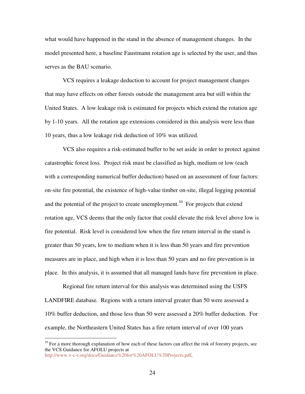what would have happened in the stand in the absence of management changes. In the model presented here, a baseline Faustmann rotation age is selected by the user, and thus serves as the BAU scenario.

VCS requires a leakage deduction to account for project management changes that may have effects on other forests outside the management area but still within the United States. A low leakage risk is estimated for projects which extend the rotation age by 1-10 years. All the rotation age extensions considered in this analysis were less than 10 years, thus a low leakage risk deduction of 10% was utilized.

 VCS also requires a risk-estimated buffer to be set aside in order to protect against catastrophic forest loss. Project risk must be classified as high, medium or low (each with a corresponding numerical buffer deduction) based on an assessment of four factors: on-site fire potential, the existence of high-value timber on-site, illegal logging potential and the potential of the project to create unemployment.<sup>10</sup> For projects that extend rotation age, VCS deems that the only factor that could elevate the risk level above low is fire potential. Risk level is considered low when the fire return interval in the stand is greater than 50 years, low to medium when it is less than 50 years and fire prevention measures are in place, and high when it is less than 50 years and no fire prevention is in place. In this analysis, it is assumed that all managed lands have fire prevention in place.

Regional fire return interval for this analysis was determined using the USFS LANDFIRE database. Regions with a return interval greater than 50 were assessed a 10% buffer deduction, and those less than 50 were assessed a 20% buffer deduction. For example, the Northeastern United States has a fire return interval of over 100 years

 $\overline{a}$ 

 $10$  For a more thorough explanation of how each of these factors can affect the risk of forestry projects, see the VCS Guidance for AFOLU projects at http://www.v-c-s.org/docs/Guidance%20for%20AFOLU%20Projects.pdf,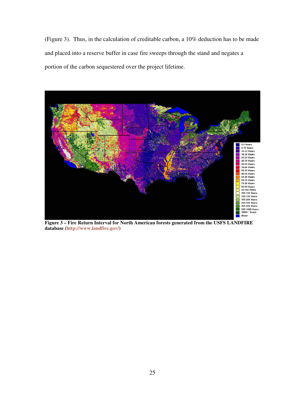(Figure 3). Thus, in the calculation of creditable carbon, a 10% deduction has to be made and placed into a reserve buffer in case fire sweeps through the stand and negates a portion of the carbon sequestered over the project lifetime.



**Figure 3 – Fire Return Interval for North American forests generated from the USFS LANDFIRE database (http://www.landfire.gov/)**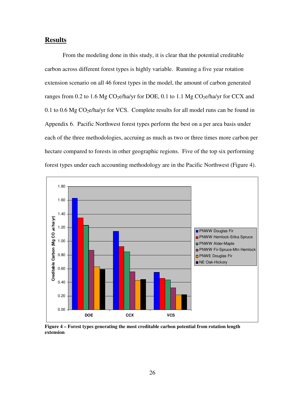# **Results**

 From the modeling done in this study, it is clear that the potential creditable carbon across different forest types is highly variable. Running a five year rotation extension scenario on all 46 forest types in the model, the amount of carbon generated ranges from 0.2 to 1.6 Mg  $CO<sub>2</sub>e/ha/yr$  for DOE, 0.1 to 1.1 Mg  $CO<sub>2</sub>e/ha/yr$  for CCX and 0.1 to 0.6 Mg  $CO<sub>2</sub>e/ha/yr$  for VCS. Complete results for all model runs can be found in Appendix 6. Pacific Northwest forest types perform the best on a per area basis under each of the three methodologies, accruing as much as two or three times more carbon per hectare compared to forests in other geographic regions. Five of the top six performing forest types under each accounting methodology are in the Pacific Northwest (Figure 4).



**Figure 4 – Forest types generating the most creditable carbon potential from rotation length extension**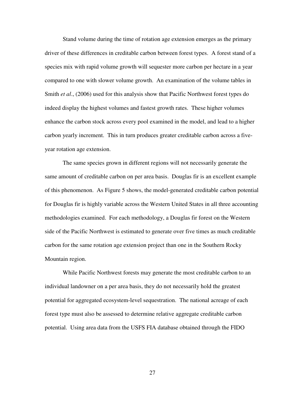Stand volume during the time of rotation age extension emerges as the primary driver of these differences in creditable carbon between forest types. A forest stand of a species mix with rapid volume growth will sequester more carbon per hectare in a year compared to one with slower volume growth. An examination of the volume tables in Smith *et al*., (2006) used for this analysis show that Pacific Northwest forest types do indeed display the highest volumes and fastest growth rates. These higher volumes enhance the carbon stock across every pool examined in the model, and lead to a higher carbon yearly increment. This in turn produces greater creditable carbon across a fiveyear rotation age extension.

The same species grown in different regions will not necessarily generate the same amount of creditable carbon on per area basis. Douglas fir is an excellent example of this phenomenon. As Figure 5 shows, the model-generated creditable carbon potential for Douglas fir is highly variable across the Western United States in all three accounting methodologies examined. For each methodology, a Douglas fir forest on the Western side of the Pacific Northwest is estimated to generate over five times as much creditable carbon for the same rotation age extension project than one in the Southern Rocky Mountain region.

While Pacific Northwest forests may generate the most creditable carbon to an individual landowner on a per area basis, they do not necessarily hold the greatest potential for aggregated ecosystem-level sequestration. The national acreage of each forest type must also be assessed to determine relative aggregate creditable carbon potential. Using area data from the USFS FIA database obtained through the FIDO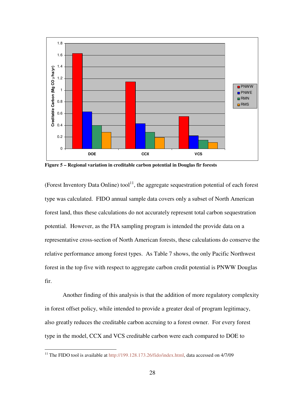

**Figure 5 – Regional variation in creditable carbon potential in Douglas fir forests** 

(Forest Inventory Data Online) tool<sup>11</sup>, the aggregate sequestration potential of each forest type was calculated. FIDO annual sample data covers only a subset of North American forest land, thus these calculations do not accurately represent total carbon sequestration potential. However, as the FIA sampling program is intended the provide data on a representative cross-section of North American forests, these calculations do conserve the relative performance among forest types. As Table 7 shows, the only Pacific Northwest forest in the top five with respect to aggregate carbon credit potential is PNWW Douglas fir.

Another finding of this analysis is that the addition of more regulatory complexity in forest offset policy, while intended to provide a greater deal of program legitimacy, also greatly reduces the creditable carbon accruing to a forest owner. For every forest type in the model, CCX and VCS creditable carbon were each compared to DOE to

 $\overline{a}$ 

<sup>&</sup>lt;sup>11</sup> The FIDO tool is available at http://199.128.173.26/fido/index.html, data accessed on 4/7/09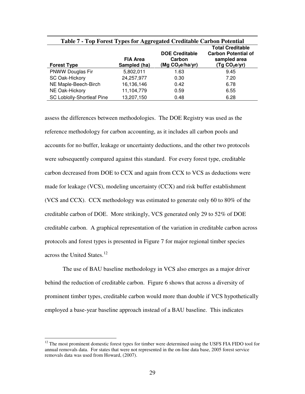| Table 7 - Top Forest Types for Aggregated Creditable Carbon Potential |                                 |                                                       |                                                                                          |  |  |  |
|-----------------------------------------------------------------------|---------------------------------|-------------------------------------------------------|------------------------------------------------------------------------------------------|--|--|--|
| <b>Forest Type</b>                                                    | <b>FIA Area</b><br>Sampled (ha) | <b>DOE Creditable</b><br>Carbon<br>(Mg $CO2e/ha/yr$ ) | <b>Total Creditable</b><br><b>Carbon Potential of</b><br>sampled area<br>(Tg $CO2e/yr$ ) |  |  |  |
| <b>PNWW Douglas Fir</b>                                               | 5,802,011                       | 1.63                                                  | 9.45                                                                                     |  |  |  |
| SC Oak-Hickory                                                        | 24,257,977                      | 0.30                                                  | 7.20                                                                                     |  |  |  |
| NE Maple-Beech-Birch                                                  | 16,136,146                      | 0.42                                                  | 6.78                                                                                     |  |  |  |
| NE Oak-Hickory                                                        | 11,104,779                      | 0.59                                                  | 6.55                                                                                     |  |  |  |
| SC Loblolly-Shortleaf Pine                                            | 13,207,150                      | 0.48                                                  | 6.28                                                                                     |  |  |  |

assess the differences between methodologies. The DOE Registry was used as the reference methodology for carbon accounting, as it includes all carbon pools and accounts for no buffer, leakage or uncertainty deductions, and the other two protocols were subsequently compared against this standard. For every forest type, creditable carbon decreased from DOE to CCX and again from CCX to VCS as deductions were made for leakage (VCS), modeling uncertainty (CCX) and risk buffer establishment (VCS and CCX). CCX methodology was estimated to generate only 60 to 80% of the creditable carbon of DOE. More strikingly, VCS generated only 29 to 52% of DOE creditable carbon. A graphical representation of the variation in creditable carbon across protocols and forest types is presented in Figure 7 for major regional timber species across the United States.<sup>12</sup>

The use of BAU baseline methodology in VCS also emerges as a major driver behind the reduction of creditable carbon. Figure 6 shows that across a diversity of prominent timber types, creditable carbon would more than double if VCS hypothetically employed a base-year baseline approach instead of a BAU baseline. This indicates

 $\overline{a}$ 

 $12$  The most prominent domestic forest types for timber were determined using the USFS FIA FIDO tool for annual removals data. For states that were not represented in the on-line data base, 2005 forest service removals data was used from Howard, (2007).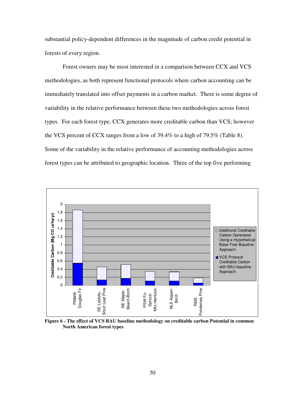substantial policy-dependent differences in the magnitude of carbon credit potential in forests of every region.

Forest owners may be most interested in a comparison between CCX and VCS methodologies, as both represent functional protocols where carbon accounting can be immediately translated into offset payments in a carbon market. There is some degree of variability in the relative performance between these two methodologies across forest types. For each forest type, CCX generates more creditable carbon than VCS; however the VCS percent of CCX ranges from a low of 39.4% to a high of 79.5% (Table 8). Some of the variability in the relative performance of accounting methodologies across forest types can be attributed to geographic location. Three of the top five performing



**Figure 6 - The effect of VCS BAU baseline methodology on creditable carbon Potential in common North American forest types**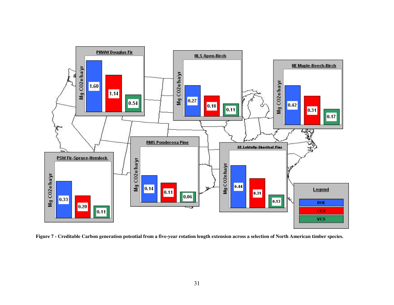

**Figure 7 - Creditable Carbon generation potential from a five-year rotation length extension across a selection of North American timber species.**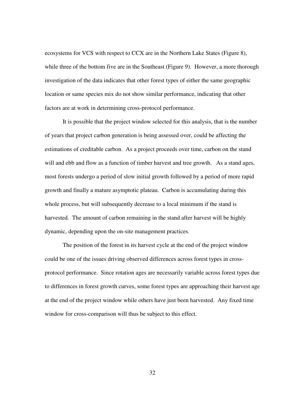ecosystems for VCS with respect to CCX are in the Northern Lake States (Figure 8), while three of the bottom five are in the Southeast (Figure 9). However, a more thorough investigation of the data indicates that other forest types of either the same geographic location or same species mix do not show similar performance, indicating that other factors are at work in determining cross-protocol performance.

 It is possible that the project window selected for this analysis, that is the number of years that project carbon generation is being assessed over, could be affecting the estimations of creditable carbon. As a project proceeds over time, carbon on the stand will and ebb and flow as a function of timber harvest and tree growth. As a stand ages, most forests undergo a period of slow initial growth followed by a period of more rapid growth and finally a mature asymptotic plateau. Carbon is accumulating during this whole process, but will subsequently decrease to a local minimum if the stand is harvested. The amount of carbon remaining in the stand after harvest will be highly dynamic, depending upon the on-site management practices.

The position of the forest in its harvest cycle at the end of the project window could be one of the issues driving observed differences across forest types in crossprotocol performance. Since rotation ages are necessarily variable across forest types due to differences in forest growth curves, some forest types are approaching their harvest age at the end of the project window while others have just been harvested. Any fixed time window for cross-comparison will thus be subject to this effect.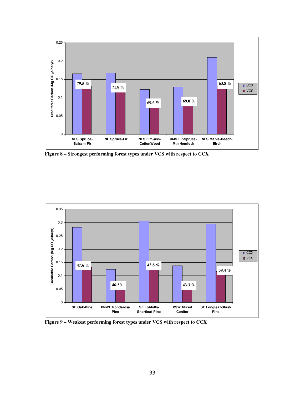

**Figure 8 – Strongest performing forest types under VCS with respect to CCX** 



**Figure 9 – Weakest performing forest types under VCS with respect to CCX**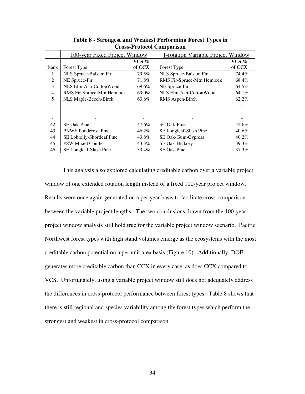| UTOSS-PTOWCOI UOIIIparisoii |                               |         |                                    |         |  |  |
|-----------------------------|-------------------------------|---------|------------------------------------|---------|--|--|
|                             | 100-year Fixed Project Window |         | 1-rotation Variable Project Window |         |  |  |
|                             |                               | $VCS$ % |                                    | $VCS$ % |  |  |
| Rank                        | Forest Type                   | of CCX  | Forest Type                        | of CCX  |  |  |
| 1                           | NLS Spruce-Balsam Fir         | 79.5%   | NLS Spruce-Balsam Fir              | 74.4%   |  |  |
| $\overline{2}$              | NE Spruce-Fir                 | 71.8%   | RMS Fir-Spruce-Mtn Hemlock         | 68.4%   |  |  |
| 3                           | NLS Elm-Ash-CottonWood        | 69.6%   | NE Spruce-Fir                      | 64.5%   |  |  |
| $\overline{4}$              | RMS Fir-Spruce-Mtn Hemlock    | 69.0%   | NLS Elm-Ash-CottonWood             | 64.1%   |  |  |
| 5                           | NLS Maple-Beech-Birch         | 63.8%   | RMS Aspen-Birch                    | 62.2%   |  |  |
|                             |                               |         |                                    |         |  |  |
|                             |                               |         |                                    |         |  |  |
|                             |                               |         |                                    |         |  |  |
| 42                          | <b>SE</b> Oak-Pine            | 47.6%   | SC Oak-Pine                        | 42.6%   |  |  |
| 43                          | <b>PNWE Ponderosa Pine</b>    | 46.2%   | SE Longleaf-Slash Pine             | 40.6%   |  |  |
| 44                          | SE Loblolly-Shortleaf Pine    | 43.8%   | SE Oak-Gum-Cypress                 | 40.2%   |  |  |
| 45                          | PSW Mixed Conifer             | 43.3%   | SE Oak-Hickory                     | 39.3%   |  |  |
| 46                          | SE Longleaf-Slash Pine        | 39.4%   | SE Oak-Pine                        | 37.3%   |  |  |

| Table 8 - Strongest and Weakest Performing Forest Types in |
|------------------------------------------------------------|
| <b>Cross-Protocol Comparison</b>                           |

 This analysis also explored calculating creditable carbon over a variable project window of one extended rotation length instead of a fixed 100-year project window. Results were once again generated on a per year basis to facilitate cross-comparison between the variable project lengths. The two conclusions drawn from the 100-year project window analysis still hold true for the variable project window scenario. Pacific Northwest forest types with high stand volumes emerge as the ecosystems with the most creditable carbon potential on a per unit area basis (Figure 10). Additionally, DOE generates more creditable carbon than CCX in every case, as does CCX compared to VCS. Unfortunately, using a variable project window still does not adequately address the differences in cross-protocol performance between forest types. Table 8 shows that there is still regional and species variability among the forest types which perform the strongest and weakest in cross-protocol comparison.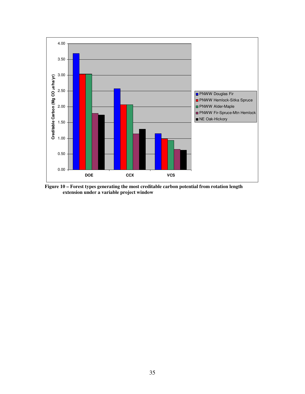

**Figure 10 – Forest types generating the most creditable carbon potential from rotation length extension under a variable project window**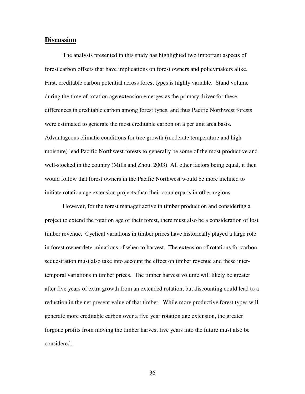# **Discussion**

The analysis presented in this study has highlighted two important aspects of forest carbon offsets that have implications on forest owners and policymakers alike. First, creditable carbon potential across forest types is highly variable. Stand volume during the time of rotation age extension emerges as the primary driver for these differences in creditable carbon among forest types, and thus Pacific Northwest forests were estimated to generate the most creditable carbon on a per unit area basis. Advantageous climatic conditions for tree growth (moderate temperature and high moisture) lead Pacific Northwest forests to generally be some of the most productive and well-stocked in the country (Mills and Zhou, 2003). All other factors being equal, it then would follow that forest owners in the Pacific Northwest would be more inclined to initiate rotation age extension projects than their counterparts in other regions.

However, for the forest manager active in timber production and considering a project to extend the rotation age of their forest, there must also be a consideration of lost timber revenue. Cyclical variations in timber prices have historically played a large role in forest owner determinations of when to harvest. The extension of rotations for carbon sequestration must also take into account the effect on timber revenue and these intertemporal variations in timber prices. The timber harvest volume will likely be greater after five years of extra growth from an extended rotation, but discounting could lead to a reduction in the net present value of that timber. While more productive forest types will generate more creditable carbon over a five year rotation age extension, the greater forgone profits from moving the timber harvest five years into the future must also be considered.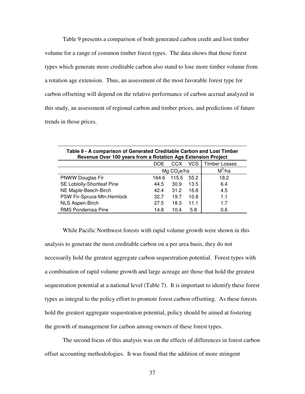Table 9 presents a comparison of both generated carbon credit and lost timber volume for a range of common timber forest types. The data shows that those forest types which generate more creditable carbon also stand to lose more timber volume from a rotation age extension. Thus, an assessment of the most favorable forest type for carbon offsetting will depend on the relative performance of carbon accrual analyzed in this study, an assessment of regional carbon and timber prices, and predictions of future trends in those prices.

| Table 9 - A comparison of Generated Creditable Carbon and Lost Timber<br>Revenue Over 100 years from a Rotation Age Extension Project |                                     |       |      |      |  |  |  |
|---------------------------------------------------------------------------------------------------------------------------------------|-------------------------------------|-------|------|------|--|--|--|
| <b>VCS</b><br>Timber Losses<br>CCX.<br>DOE                                                                                            |                                     |       |      |      |  |  |  |
|                                                                                                                                       | $M^3/ha$<br>Mg CO <sub>2</sub> e/ha |       |      |      |  |  |  |
| <b>PNWW Douglas Fir</b>                                                                                                               | 164.6                               | 115.5 | 55.2 | 18.2 |  |  |  |
| SE Loblolly-Shortleaf Pine                                                                                                            | 44.5                                | 30.9  | 13.5 | 6.4  |  |  |  |
| NE Maple-Beech-Birch                                                                                                                  | 31.2<br>4.5<br>16.8<br>42.4         |       |      |      |  |  |  |
| PSW Fir-Spruce-Mtn.Hemlock                                                                                                            | 32.7                                | 19.7  | 10.8 | 1.1  |  |  |  |
| NLS Aspen-Birch                                                                                                                       | 27.5                                | 18.3  | 11.1 | 1.7  |  |  |  |
| RMS Ponderosa Pine                                                                                                                    | 14.8                                | 10.4  | 5.8  | 0.6  |  |  |  |

While Pacific Northwest forests with rapid volume growth were shown in this analysis to generate the most creditable carbon on a per area basis, they do not necessarily hold the greatest aggregate carbon sequestration potential. Forest types with a combination of rapid volume growth and large acreage are those that hold the greatest sequestration potential at a national level (Table 7). It is important to identify these forest types as integral to the policy effort to promote forest carbon offsetting. As these forests hold the greatest aggregate sequestration potential, policy should be aimed at fostering the growth of management for carbon among owners of these forest types.

The second focus of this analysis was on the effects of differences in forest carbon offset accounting methodologies. It was found that the addition of more stringent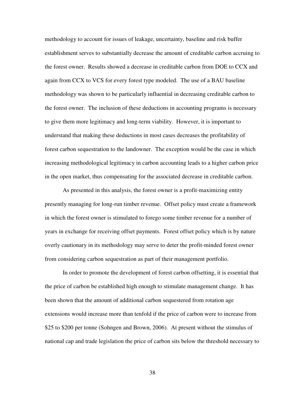methodology to account for issues of leakage, uncertainty, baseline and risk buffer establishment serves to substantially decrease the amount of creditable carbon accruing to the forest owner. Results showed a decrease in creditable carbon from DOE to CCX and again from CCX to VCS for every forest type modeled. The use of a BAU baseline methodology was shown to be particularly influential in decreasing creditable carbon to the forest owner. The inclusion of these deductions in accounting programs is necessary to give them more legitimacy and long-term viability. However, it is important to understand that making these deductions in most cases decreases the profitability of forest carbon sequestration to the landowner. The exception would be the case in which increasing methodological legitimacy in carbon accounting leads to a higher carbon price in the open market, thus compensating for the associated decrease in creditable carbon.

As presented in this analysis, the forest owner is a profit-maximizing entity presently managing for long-run timber revenue. Offset policy must create a framework in which the forest owner is stimulated to forego some timber revenue for a number of years in exchange for receiving offset payments. Forest offset policy which is by nature overly cautionary in its methodology may serve to deter the profit-minded forest owner from considering carbon sequestration as part of their management portfolio.

In order to promote the development of forest carbon offsetting, it is essential that the price of carbon be established high enough to stimulate management change. It has been shown that the amount of additional carbon sequestered from rotation age extensions would increase more than tenfold if the price of carbon were to increase from \$25 to \$200 per tonne (Sohngen and Brown, 2006). At present without the stimulus of national cap and trade legislation the price of carbon sits below the threshold necessary to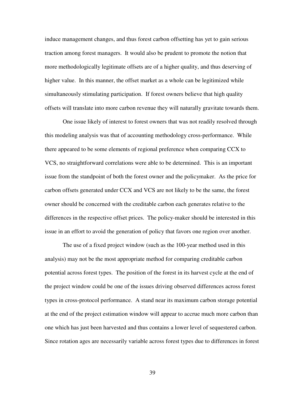induce management changes, and thus forest carbon offsetting has yet to gain serious traction among forest managers. It would also be prudent to promote the notion that more methodologically legitimate offsets are of a higher quality, and thus deserving of higher value. In this manner, the offset market as a whole can be legitimized while simultaneously stimulating participation. If forest owners believe that high quality offsets will translate into more carbon revenue they will naturally gravitate towards them.

One issue likely of interest to forest owners that was not readily resolved through this modeling analysis was that of accounting methodology cross-performance. While there appeared to be some elements of regional preference when comparing CCX to VCS, no straightforward correlations were able to be determined. This is an important issue from the standpoint of both the forest owner and the policymaker. As the price for carbon offsets generated under CCX and VCS are not likely to be the same, the forest owner should be concerned with the creditable carbon each generates relative to the differences in the respective offset prices. The policy-maker should be interested in this issue in an effort to avoid the generation of policy that favors one region over another.

 The use of a fixed project window (such as the 100-year method used in this analysis) may not be the most appropriate method for comparing creditable carbon potential across forest types. The position of the forest in its harvest cycle at the end of the project window could be one of the issues driving observed differences across forest types in cross-protocol performance. A stand near its maximum carbon storage potential at the end of the project estimation window will appear to accrue much more carbon than one which has just been harvested and thus contains a lower level of sequestered carbon. Since rotation ages are necessarily variable across forest types due to differences in forest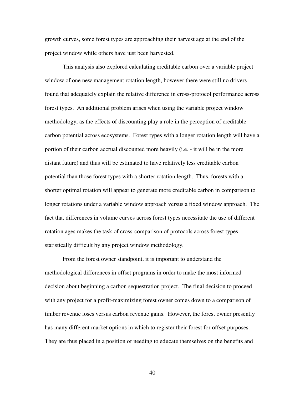growth curves, some forest types are approaching their harvest age at the end of the project window while others have just been harvested.

 This analysis also explored calculating creditable carbon over a variable project window of one new management rotation length, however there were still no drivers found that adequately explain the relative difference in cross-protocol performance across forest types. An additional problem arises when using the variable project window methodology, as the effects of discounting play a role in the perception of creditable carbon potential across ecosystems. Forest types with a longer rotation length will have a portion of their carbon accrual discounted more heavily (i.e. - it will be in the more distant future) and thus will be estimated to have relatively less creditable carbon potential than those forest types with a shorter rotation length. Thus, forests with a shorter optimal rotation will appear to generate more creditable carbon in comparison to longer rotations under a variable window approach versus a fixed window approach. The fact that differences in volume curves across forest types necessitate the use of different rotation ages makes the task of cross-comparison of protocols across forest types statistically difficult by any project window methodology.

From the forest owner standpoint, it is important to understand the methodological differences in offset programs in order to make the most informed decision about beginning a carbon sequestration project. The final decision to proceed with any project for a profit-maximizing forest owner comes down to a comparison of timber revenue loses versus carbon revenue gains. However, the forest owner presently has many different market options in which to register their forest for offset purposes. They are thus placed in a position of needing to educate themselves on the benefits and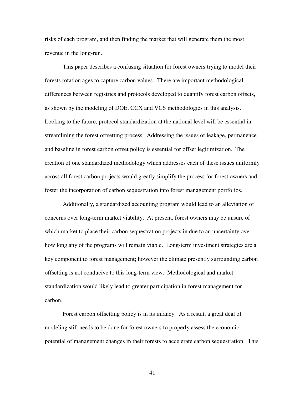risks of each program, and then finding the market that will generate them the most revenue in the long-run.

This paper describes a confusing situation for forest owners trying to model their forests rotation ages to capture carbon values. There are important methodological differences between registries and protocols developed to quantify forest carbon offsets, as shown by the modeling of DOE, CCX and VCS methodologies in this analysis. Looking to the future, protocol standardization at the national level will be essential in streamlining the forest offsetting process. Addressing the issues of leakage, permanence and baseline in forest carbon offset policy is essential for offset legitimization. The creation of one standardized methodology which addresses each of these issues uniformly across all forest carbon projects would greatly simplify the process for forest owners and foster the incorporation of carbon sequestration into forest management portfolios.

 Additionally, a standardized accounting program would lead to an alleviation of concerns over long-term market viability. At present, forest owners may be unsure of which market to place their carbon sequestration projects in due to an uncertainty over how long any of the programs will remain viable. Long-term investment strategies are a key component to forest management; however the climate presently surrounding carbon offsetting is not conducive to this long-term view. Methodological and market standardization would likely lead to greater participation in forest management for carbon.

Forest carbon offsetting policy is in its infancy. As a result, a great deal of modeling still needs to be done for forest owners to properly assess the economic potential of management changes in their forests to accelerate carbon sequestration. This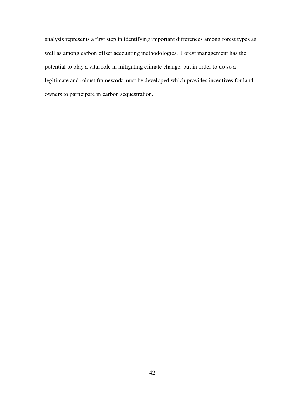analysis represents a first step in identifying important differences among forest types as well as among carbon offset accounting methodologies. Forest management has the potential to play a vital role in mitigating climate change, but in order to do so a legitimate and robust framework must be developed which provides incentives for land owners to participate in carbon sequestration.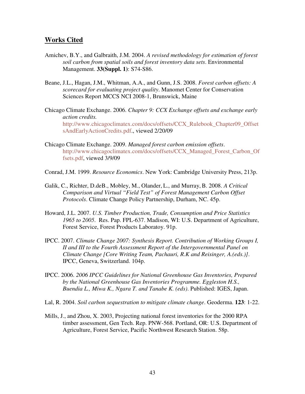# **Works Cited**

- Amichev, B.Y., and Galbraith, J.M. 2004. *A revised methodology for estimation of forest soil carbon from spatial soils and forest inventory data sets*. Environmental Management. **33(Suppl. 1)**: S74-S86.
- Beane, J.L., Hagan, J.M., Whitman, A.A., and Gunn, J.S. 2008. *Forest carbon offsets: A scorecard for evaluating project quality*. Manomet Center for Conservation Sciences Report MCCS NCI 2008-1, Brunswick, Maine
- Chicago Climate Exchange. 2006. *Chapter 9: CCX Exchange offsets and exchange early action credits.*  http://www.chicagoclimatex.com/docs/offsets/CCX\_Rulebook\_Chapter09\_Offset sAndEarlyActionCredits.pdf., viewed 2/20/09
- Chicago Climate Exchange. 2009. *Managed forest carbon emission offsets*. http://www.chicagoclimatex.com/docs/offsets/CCX\_Managed\_Forest\_Carbon\_Of fsets.pdf, viewed 3/9/09
- Conrad, J.M. 1999. *Resource Economics*. New York: Cambridge University Press, 213p.
- Galik, C., Richter, D.deB., Mobley, M., Olander, L., and Murray, B. 2008. *A Critical Comparison and Virtual "Field Test" of Forest Management Carbon Offset Protocols*. Climate Change Policy Partnership, Durham, NC. 45p.
- Howard, J.L. 2007. *U.S. Timber Production, Trade, Consumption and Price Statistics 1965 to 2005*. Res. Pap. FPL-637. Madison, WI: U.S. Department of Agriculture, Forest Service, Forest Products Laboratoy. 91p.
- IPCC. 2007. *Climate Change 2007: Synthesis Report. Contribution of Working Groups I, II and III to the Fourth Assessment Report of the Intergovernmental Panel on Climate Change [Core Writing Team, Pachauri, R.K and Reisinger, A.(eds.)]*. IPCC, Geneva, Switzerland. 104p.
- IPCC. 2006. *2006 IPCC Guidelines for National Greenhouse Gas Inventories, Prepared by the National Greenhouse Gas Inventories Programme. Eggleston H.S., Buendia L., Miwa K., Ngara T. and Tanabe K. (eds)*. Published: IGES, Japan.
- Lal, R. 2004. *Soil carbon sequestration to mitigate climate change*. Geoderma. **123**: 1-22.
- Mills, J., and Zhou, X. 2003, Projecting national forest inventories for the 2000 RPA timber assessment, Gen Tech. Rep. PNW-568. Portland, OR: U.S. Department of Agriculture, Forest Service, Pacific Northwest Research Station. 58p.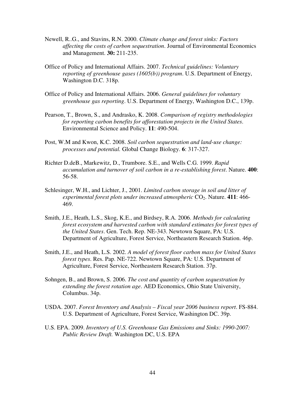- Newell, R..G., and Stavins, R.N. 2000. *Climate change and forest sinks: Factors affecting the costs of carbon sequestration*. Journal of Environmental Economics and Management. **30:** 211-235.
- Office of Policy and International Affairs. 2007. *Technical guidelines: Voluntary reporting of greenhouse gases (1605(b)) program*. U.S. Department of Energy, Washington D.C. 318p.
- Office of Policy and International Affairs. 2006. *General guidelines for voluntary greenhouse gas reporting*. U.S. Department of Energy, Washington D.C., 139p.
- Pearson, T., Brown, S., and Andrasko, K. 2008. *Comparison of registry methodologies for reporting carbon benefits for afforestation projects in the United States*. Environmental Science and Policy. **11**: 490-504.
- Post, W.M and Kwon, K.C. 2008. *Soil carbon sequestration and land-use change: processes and potential.* Global Change Biology. **6**: 317-327.
- Richter D.deB., Markewitz, D., Trumbore. S.E., and Wells C.G. 1999. *Rapid accumulation and turnover of soil carbon in a re-establishing forest*. Nature. **400**: 56-58.
- Schlesinger, W.H., and Lichter, J., 2001. *Limited carbon storage in soil and litter of*  experimental forest plots under increased atmospheric  $CO_2$ . Nature. **411**: 466-469.
- Smith, J.E., Heath, L.S., Skog, K.E., and Birdsey, R.A. 2006. *Methods for calculating forest ecosystem and harvested carbon with standard estimates for forest types of the United States*. Gen. Tech. Rep. NE-343. Newtown Square, PA: U.S. Department of Agriculture, Forest Service, Northeastern Research Station. 46p.
- Smith, J.E., and Heath, L.S. 2002. *A model of forest floor carbon mass for United States forest types*. Res. Pap. NE-722. Newtown Square, PA: U.S. Department of Agriculture, Forest Service, Northeastern Research Station. 37p.
- Sohngen, B., and Brown, S. 2006. *The cost and quantity of carbon sequestration by extending the forest rotation age*. AED Economics, Ohio State University, Columbus. 34p.
- USDA. 2007. *Forest Inventory and Analysis Fiscal year 2006 business report*. FS-884. U.S. Department of Agriculture, Forest Service, Washington DC. 39p.
- U.S. EPA. 2009. *Inventory of U.S. Greenhouse Gas Emissions and Sinks: 1990-2007: Public Review Draft.* Washington DC, U.S. EPA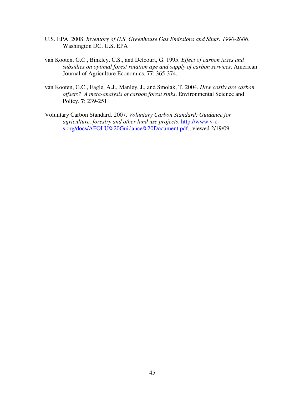- U.S. EPA. 2008. *Inventory of U.S. Greenhouse Gas Emissions and Sinks: 1990-2006*. Washington DC, U.S. EPA
- van Kooten, G.C., Binkley, C.S., and Delcourt, G. 1995. *Effect of carbon taxes and subsidies on optimal forest rotation age and supply of carbon services*. American Journal of Agriculture Economics. **77**: 365-374.
- van Kooten, G.C., Eagle, A.J., Manley, J., and Smolak, T. 2004. *How costly are carbon offsets? A meta-analysis of carbon forest sinks*. Environmental Science and Policy. **7**: 239-251
- Voluntary Carbon Standard. 2007. *Voluntary Carbon Standard: Guidance for agriculture, forestry and other land use projects*. http://www.v-cs.org/docs/AFOLU%20Guidance%20Document.pdf., viewed 2/19/09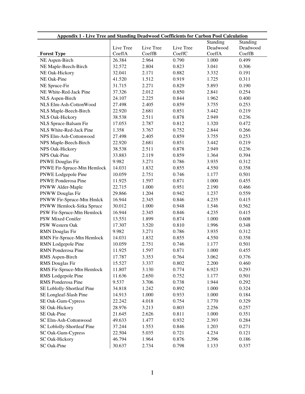| <b>Appendix 1 - Live Tree and Standing Deadwood Coefficients for Carbon Pool Calculation</b> |           |           |           |          |          |
|----------------------------------------------------------------------------------------------|-----------|-----------|-----------|----------|----------|
|                                                                                              |           |           |           | Standing | Standing |
|                                                                                              | Live Tree | Live Tree | Live Tree | Deadwood | Deadwood |
| <b>Forest Type</b>                                                                           | CoeffA    | CoeffB    | CoeffC    | CoeffA   | CoeffB   |
| NE Aspen-Birch                                                                               | 26.384    | 2.964     | 0.790     | 1.000    | 0.499    |
| NE Maple-Beech-Birch                                                                         | 32.572    | 2.804     | 0.823     | 3.041    | 0.306    |
| NE Oak-Hickory                                                                               | 32.041    | 2.171     | 0.882     | 3.332    | 0.191    |
| NE Oak-Pine                                                                                  | 41.520    | 1.512     | 0.919     | 1.725    | 0.311    |
| NE Spruce-Fir                                                                                | 31.715    | 2.271     | 0.829     | 5.893    | 0.190    |
| NE White-Red-Jack Pine                                                                       | 37.326    | 2.012     | 0.850     | 2.841    | 0.254    |
| NLS Aspen-Birch                                                                              | 24.107    | 2.225     | 0.844     | 1.962    | 0.400    |
| NLS Elm-Ash-CottonWood                                                                       | 27.498    | 2.405     | 0.859     | 3.755    | 0.253    |
| NLS Maple-Beech-Birch                                                                        | 22.920    | 2.681     | 0.851     | 3.442    | 0.219    |
| NLS Oak-Hickory                                                                              | 38.538    | 2.511     | 0.878     | 2.949    | 0.236    |
| NLS Spruce-Balsam Fir                                                                        | 17.053    | 2.787     | 0.812     | 1.320    | 0.472    |
| NLS White-Red-Jack Pine                                                                      | 1.358     | 3.767     | 0.752     | 2.844    | 0.266    |
| NPS Elm-Ash-Cottonwood                                                                       | 27.498    | 2.405     | 0.859     | 3.755    | 0.253    |
| NPS Maple-Beech-Birch                                                                        | 22.920    | 2.681     | 0.851     | 3.442    | 0.219    |
| NPS Oak-Hickory                                                                              | 38.538    | 2.511     | 0.878     | 2.949    | 0.236    |
| NPS Oak-Pine                                                                                 | 33.883    | 2.119     | 0.859     | 1.364    | 0.394    |
| <b>PNWE Douglas Fir</b>                                                                      | 9.982     | 3.271     | 0.786     | 3.935    | 0.312    |
| PNWE Fir-Spruce-Mtn Hemlock                                                                  | 14.031    | 1.832     | 0.855     | 4.550    | 0.358    |
| PNWE Lodgepole Pine                                                                          | 10.059    | 2.751     | 0.746     | 1.177    | 0.501    |
| <b>PNWE Ponderosa Pine</b>                                                                   | 11.925    | 1.597     | 0.871     | 1.000    | 0.455    |
| PNWW Alder-Maple                                                                             | 22.715    | 1.000     | 0.951     | 2.190    | 0.466    |
| PNWW Douglas Fir                                                                             | 29.866    | 1.204     | 0.942     | 1.237    | 0.559    |
| PNWW Fir-Spruce-Mtn Hmlck                                                                    | 16.944    | 2.345     | 0.846     | 4.235    | 0.415    |
| PNWW Hemlock-Sitka Spruce                                                                    | 30.012    | 1.000     | 0.948     | 1.546    | 0.562    |
| PSW Fir-Spruce-Mtn Hemlock                                                                   | 16.944    | 2.345     | 0.846     | 4.235    | 0.415    |
| PSW Mixed Conifer                                                                            | 13.551    | 1.899     | 0.874     | 1.000    | 0.608    |
| PSW Western Oak                                                                              | 17.307    | 3.520     | 0.810     | 1.996    | 0.348    |
| <b>RMN</b> Douglas Fir                                                                       | 9.982     | 3.271     | 0.786     | 3.935    | 0.312    |
| RMN Fir-Spruce-Mtn Hemlock                                                                   | 14.031    | 1.832     | 0.855     | 4.550    | 0.358    |
| RMN Lodgepole Pine                                                                           | 10.059    | 2.751     | 0.746     | 1.177    | 0.501    |
| <b>RMN</b> Ponderosa Pine                                                                    | 11.925    | 1.597     | 0.871     | 1.000    | 0.455    |
| RMS Aspen-Birch                                                                              | 17.787    | 3.353     | 0.764     | 3.062    | 0.376    |
| <b>RMS</b> Douglas Fir                                                                       | 15.527    | 3.337     | 0.802     | 2.200    | 0.460    |
| RMS Fir-Spruce-Mtn Hemlock                                                                   | 11.807    | 3.130     | 0.774     | 6.923    | 0.293    |
| RMS Lodgepole Pine                                                                           | 11.636    | 2.650     | 0.752     | 1.177    | 0.501    |
| RMS Ponderosa Pine                                                                           | 9.537     | 3.706     | 0.738     | 1.944    | 0.292    |
| SE Loblolly-Shortleaf Pine                                                                   | 34.818    | 1.242     | 0.892     | 1.000    | 0.324    |
| SE Longleaf-Slash Pine                                                                       | 14.913    | 1.000     | 0.933     | 1.000    | 0.184    |
| SE Oak-Gum-Cypress                                                                           | 22.242    | 4.018     | 0.754     | 1.770    | 0.329    |
|                                                                                              |           |           |           |          |          |
| SE Oak-Hickory                                                                               | 28.976    | 3.213     | 0.803     | 2.256    | 0.257    |
| SE Oak-Pine                                                                                  | 21.645    | 2.626     | 0.811     | 1.000    | 0.351    |
| SC Elm-Ash-Cottonwood                                                                        | 49.633    | 1.477     | 0.932     | 2.393    | 0.284    |
| SC Loblolly-Shortleaf Pine                                                                   | 37.244    | 1.553     | 0.846     | 1.203    | 0.271    |
| SC Oak-Gum-Cypress                                                                           | 22.504    | 5.035     | 0.721     | 4.234    | 0.121    |
| SC Oak-Hickory                                                                               | 46.794    | 1.964     | 0.876     | 2.396    | 0.186    |
| SC Oak-Pine                                                                                  | 30.637    | 2.734     | 0.798     | 1.133    | 0.337    |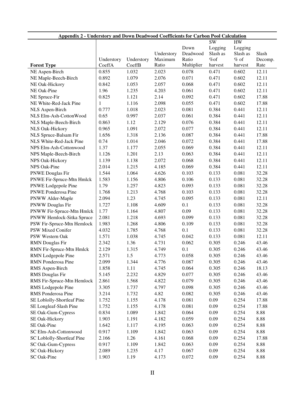| <b>Appendix 2 - Understory and Down Deadwood Coefficients for Carbon Pool Calculation</b> |                      |                      |                  |                     |                |                   |                 |
|-------------------------------------------------------------------------------------------|----------------------|----------------------|------------------|---------------------|----------------|-------------------|-----------------|
|                                                                                           | <b>SW</b><br>HW      |                      |                  |                     |                |                   |                 |
|                                                                                           |                      |                      |                  | Down                | Logging        | Logging           |                 |
|                                                                                           |                      |                      | Understory       | Deadwood            | Slash as       | Slash as          | Slash           |
| <b>Forest Type</b>                                                                        | Understory<br>CoeffA | Understory<br>CoeffB | Maximum<br>Ratio | Ratio<br>Multiplier | %of<br>harvest | $%$ of<br>harvest | Decomp.<br>Rate |
| NE Aspen-Birch                                                                            | 0.855                | 1.032                | 2.023            | 0.078               | 0.471          | 0.602             | 12.11           |
| NE Maple-Beech-Birch                                                                      | 0.892                | 1.079                | 2.076            | 0.071               | 0.471          | 0.602             | 12.11           |
| NE Oak-Hickory                                                                            | 0.842                | 1.053                | 2.057            | 0.068               | 0.471          | 0.602             | 12.11           |
| NE Oak-Pine                                                                               | 1.96                 | 1.235                | 4.203            | 0.061               | 0.471          | 0.602             | 12.11           |
| NE Spruce-Fir                                                                             | 0.825                | 1.121                | 2.14             | 0.092               | 0.471          | 0.602             | 17.88           |
| NE White-Red-Jack Pine                                                                    | $\mathbf{1}$         | 1.116                | 2.098            | 0.055               | 0.471          | 0.602             | 17.88           |
| NLS Aspen-Birch                                                                           | 0.777                | 1.018                | 2.023            | 0.081               | 0.384          | 0.441             | 12.11           |
| NLS Elm-Ash-CottonWood                                                                    | 0.65                 | 0.997                | 2.037            | 0.061               | 0.384          | 0.441             | 12.11           |
|                                                                                           | 0.863                | 1.12                 | 2.129            | 0.076               | 0.384          | 0.441             | 12.11           |
| NLS Maple-Beech-Birch                                                                     | 0.965                | 1.091                | 2.072            | 0.077               | 0.384          | 0.441             | 12.11           |
| NLS Oak-Hickory                                                                           | 1.656                |                      |                  |                     |                |                   |                 |
| NLS Spruce-Balsam Fir<br>NLS White-Red-Jack Pine                                          |                      | 1.318                | 2.136            | 0.087               | 0.384          | 0.441             | 17.88           |
|                                                                                           | 0.74                 | 1.014                | 2.046            | 0.072               | 0.384          | 0.441             | 17.88           |
| NPS Elm-Ash-Cottonwood                                                                    | 1.37                 | 1.177                | 2.055            | 0.069               | 0.384          | 0.441             | 12.11           |
| NPS Maple-Beech-Birch                                                                     | 1.126                | 1.201                | 2.13             | 0.063               | 0.384          | 0.441             | 12.11           |
| NPS Oak-Hickory                                                                           | 1.139                | 1.138                | 2.072            | 0.068               | 0.384          | 0.441             | 12.11           |
| NPS Oak-Pine                                                                              | 2.014                | 1.215                | 4.185            | 0.069               | 0.384          | 0.441             | 12.11           |
| <b>PNWE Douglas Fir</b>                                                                   | 1.544                | 1.064                | 4.626            | 0.103               | 0.133          | 0.081             | 32.28           |
| PNWE Fir-Spruce-Mtn Hmlck                                                                 | 1.583                | 1.156                | 4.806            | 0.106               | 0.133          | 0.081             | 32.28           |
| PNWE Lodgepole Pine                                                                       | 1.79                 | 1.257                | 4.823            | 0.093               | 0.133          | 0.081             | 32.28           |
| PNWE Ponderosa Pine                                                                       | 1.768                | 1.213                | 4.768            | 0.103               | 0.133          | 0.081             | 32.28           |
| PNWW Alder-Maple                                                                          | 2.094                | 1.23                 | 4.745            | 0.095               | 0.133          | 0.081             | 12.11           |
| PNWW Douglas Fir                                                                          | 1.727                | 1.108                | 4.609            | 0.1                 | 0.133          | 0.081             | 32.28           |
| PNWW Fir-Spruce-Mtn Hmlck                                                                 | 1.77                 | 1.164                | 4.807            | 0.09                | 0.133          | 0.081             | 32.28           |
| PNWW Hemlock-Sitka Spruce                                                                 | 2.081                | 1.218                | 4.693            | 0.099               | 0.133          | 0.081             | 32.28           |
| PSW Fir-Spruce-Mtn Hemlock                                                                | 1.983                | 1.268                | 4.806            | 0.109               | 0.133          | 0.081             | 32.28           |
| <b>PSW Mixed Conifer</b>                                                                  | 4.032                | 1.785                | 4.768            | 0.1                 | 0.133          | 0.081             | 32.28           |
| PSW Western Oak                                                                           | 1.571                | 1.038                | 4.745            | 0.042               | 0.133          | 0.081             | 12.11           |
| <b>RMN</b> Douglas Fir                                                                    | 2.342                | 1.36                 | 4.731            | 0.062               | 0.305          | 0.246             | 43.46           |
| RMN Fir-Spruce-Mtn Hmlck                                                                  | 2.129                | 1.315                | 4.749            | 0.1                 | 0.305          | 0.246             | 43.46           |
| RMN Lodgepole Pine                                                                        | 2.571                | 1.5                  | 4.773            | 0.058               | 0.305          | 0.246             | 43.46           |
| RMN Ponderosa Pine                                                                        | 2.099                | 1.344                | 4.776            | 0.087               | 0.305          | 0.246             | 43.46           |
| RMS Aspen-Birch                                                                           | 1.858                | 1.11                 | 4.745            | 0.064               | 0.305          | 0.246             | 18.13           |
| <b>RMS</b> Douglas Fir                                                                    | 5.145                | 2.232                | 4.829            | 0.077               | 0.305          | 0.246             | 43.46           |
| RMS Fir-Spruce-Mtn Hemlock                                                                | 2.861                | 1.568                | 4.822            | 0.079               | 0.305          | 0.246             | 43.46           |
| RMS Lodgepole Pine                                                                        | 3.305                | 1.737                | 4.797            | 0.098               | 0.305          | 0.246             | 43.46           |
| RMS Ponderosa Pine                                                                        | 3.214                | 1.732                | 4.82             | 0.082               | 0.305          | 0.246             | 43.46           |
| SE Loblolly-Shortleaf Pine                                                                | 1.752                | 1.155                | 4.178            | 0.081               | 0.09           | 0.254             | 17.88           |
| SE Longleaf-Slash Pine                                                                    | 1.752                | 1.155                | 4.178            | 0.081               | 0.09           | 0.254             | 17.88           |
| SE Oak-Gum-Cypress                                                                        | 0.834                | 1.089                | 1.842            | 0.064               | 0.09           | 0.254             | 8.88            |
| SE Oak-Hickory                                                                            | 1.903                | 1.191                | 4.182            | 0.059               | 0.09           | 0.254             | 8.88            |
| SE Oak-Pine                                                                               | 1.642                | 1.117                | 4.195            | 0.063               | 0.09           | 0.254             | 8.88            |
| SC Elm-Ash-Cottonwood                                                                     | 0.917                | 1.109                | 1.842            | 0.063               | 0.09           | 0.254             | 8.88            |
| SC Loblolly-Shortleaf Pine                                                                | 2.166                | 1.26                 | 4.161            | 0.068               | 0.09           | 0.254             | 17.88           |
| SC Oak-Gum-Cypress                                                                        | 0.917                | 1.109                | 1.842            | 0.063               | 0.09           | 0.254             | 8.88            |
| SC Oak-Hickory                                                                            | 2.089                | 1.235                | 4.17             | 0.067               | 0.09           | 0.254             | 8.88            |
| SC Oak-Pine                                                                               | 1.903                | 1.19                 | 4.173            | 0.072               | 0.09           | 0.254             | 8.88            |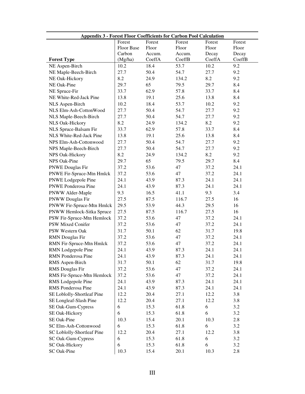| <b>Appendix 3 - Forest Floor Coefficients for Carbon Pool Calculation</b> |                   |        |        |        |        |  |
|---------------------------------------------------------------------------|-------------------|--------|--------|--------|--------|--|
|                                                                           | Forest            | Forest | Forest | Forest | Forest |  |
|                                                                           | <b>Floor Base</b> | Floor  | Floor  | Floor  | Floor  |  |
|                                                                           | Carbon            | Accum. | Accum. | Decay  | Decay  |  |
| <b>Forest Type</b>                                                        | (Mg/ha)           | CoeffA | CoeffB | CoeffA | CoeffB |  |
| NE Aspen-Birch                                                            | 10.2              | 18.4   | 53.7   | 10.2   | 9.2    |  |
| NE Maple-Beech-Birch                                                      | 27.7              | 50.4   | 54.7   | 27.7   | 9.2    |  |
| NE Oak-Hickory                                                            | 8.2               | 24.9   | 134.2  | 8.2    | 9.2    |  |
| NE Oak-Pine                                                               | 29.7              | 65     | 79.5   | 29.7   | 8.4    |  |
| NE Spruce-Fir                                                             | 33.7              | 62.9   | 57.8   | 33.7   | 8.4    |  |
| NE White-Red-Jack Pine                                                    | 13.8              | 19.1   | 25.6   | 13.8   | 8.4    |  |
| NLS Aspen-Birch                                                           | 10.2              | 18.4   | 53.7   | 10.2   | 9.2    |  |
| NLS Elm-Ash-CottonWood                                                    | 27.7              | 50.4   | 54.7   | 27.7   | 9.2    |  |
| NLS Maple-Beech-Birch                                                     | 27.7              | 50.4   | 54.7   | 27.7   | 9.2    |  |
| NLS Oak-Hickory                                                           | 8.2               | 24.9   | 134.2  | 8.2    | 9.2    |  |
| NLS Spruce-Balsam Fir                                                     | 33.7              | 62.9   | 57.8   | 33.7   | 8.4    |  |
| NLS White-Red-Jack Pine                                                   | 13.8              | 19.1   | 25.6   | 13.8   | 8.4    |  |
| NPS Elm-Ash-Cottonwood                                                    | 27.7              | 50.4   | 54.7   | 27.7   | 9.2    |  |
| NPS Maple-Beech-Birch                                                     | 27.7              | 50.4   | 54.7   | 27.7   | 9.2    |  |
| NPS Oak-Hickory                                                           | 8.2               | 24.9   | 134.2  | 8.2    | 9.2    |  |
| NPS Oak-Pine                                                              | 29.7              | 65     | 79.5   | 29.7   | 8.4    |  |
| <b>PNWE Douglas Fir</b>                                                   | 37.2              | 53.6   | 47     | 37.2   | 24.1   |  |
| PNWE Fir-Spruce-Mtn Hmlck                                                 | 37.2              | 53.6   | 47     | 37.2   | 24.1   |  |
| PNWE Lodgepole Pine                                                       | 24.1              | 43.9   | 87.3   | 24.1   | 24.1   |  |
| <b>PNWE Ponderosa Pine</b>                                                | 24.1              | 43.9   | 87.3   | 24.1   | 24.1   |  |
| PNWW Alder-Maple                                                          | 9.3               | 16.5   | 41.1   | 9.3    | 3.4    |  |
| <b>PNWW Douglas Fir</b>                                                   | 27.5              | 87.5   | 116.7  | 27.5   | 16     |  |
| PNWW Fir-Spruce-Mtn Hmlck                                                 | 29.5              | 53.9   | 44.3   | 29.5   | 16     |  |
|                                                                           | 27.5              |        |        |        | 16     |  |
| PNWW Hemlock-Sitka Spruce                                                 |                   | 87.5   | 116.7  | 27.5   |        |  |
| PSW Fir-Spruce-Mtn Hemlock                                                | 37.2              | 53.6   | 47     | 37.2   | 24.1   |  |
| PSW Mixed Conifer                                                         | 37.2              | 53.6   | 47     | 37.2   | 24.1   |  |
| PSW Western Oak                                                           | 31.7              | 50.1   | 62     | 31.7   | 19.8   |  |
| <b>RMN</b> Douglas Fir                                                    | 37.2              | 53.6   | 47     | 37.2   | 24.1   |  |
| RMN Fir-Spruce-Mtn Hmlck                                                  | 37.2              | 53.6   | 47     | 37.2   | 24.1   |  |
| RMN Lodgepole Pine                                                        | 24.1              | 43.9   | 87.3   | 24.1   | 24.1   |  |
| RMN Ponderosa Pine                                                        | 24.1              | 43.9   | 87.3   | 24.1   | 24.1   |  |
| RMS Aspen-Birch                                                           | 31.7              | 50.1   | 62     | 31.7   | 19.8   |  |
| RMS Douglas Fir                                                           | 37.2              | 53.6   | 47     | 37.2   | 24.1   |  |
| RMS Fir-Spruce-Mtn Hemlock                                                | 37.2              | 53.6   | 47     | 37.2   | 24.1   |  |
| RMS Lodgepole Pine                                                        | 24.1              | 43.9   | 87.3   | 24.1   | 24.1   |  |
| RMS Ponderosa Pine                                                        | 24.1              | 43.9   | 87.3   | 24.1   | 24.1   |  |
| SE Loblolly-Shortleaf Pine                                                | 12.2              | 20.4   | 27.1   | 12.2   | 3.8    |  |
| SE Longleaf-Slash Pine                                                    | 12.2              | 20.4   | 27.1   | 12.2   | 3.8    |  |
| SE Oak-Gum-Cypress                                                        | 6                 | 15.3   | 61.8   | 6      | 3.2    |  |
| SE Oak-Hickory                                                            | 6                 | 15.3   | 61.8   | 6      | 3.2    |  |
| SE Oak-Pine                                                               | 10.3              | 15.4   | 20.1   | 10.3   | 2.8    |  |
| SC Elm-Ash-Cottonwood                                                     | 6                 | 15.3   | 61.8   | 6      | 3.2    |  |
| SC Loblolly-Shortleaf Pine                                                | 12.2              | 20.4   | 27.1   | 12.2   | 3.8    |  |
| SC Oak-Gum-Cypress                                                        | 6                 | 15.3   | 61.8   | 6      | 3.2    |  |
| SC Oak-Hickory                                                            | 6                 | 15.3   | 61.8   | 6      | 3.2    |  |
| SC Oak-Pine                                                               | 10.3              | 15.4   | 20.1   | 10.3   | 2.8    |  |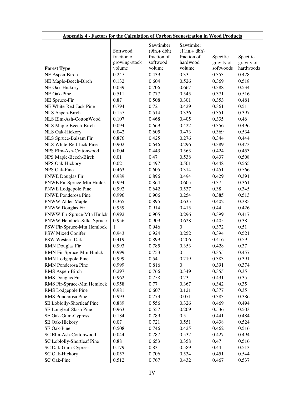| <b>Forest Type</b>                     | Softwood<br>fraction of<br>growing-stock<br>volume | Sawtimber<br>$(9in.+dbh)$<br>fraction of<br>softwood<br>volume | Sawtimber<br>$(11in.+dbh)$<br>fraction of<br>hardwood<br>volume | Specific<br>gravity of<br>softwoods | Specific<br>gravity of<br>hardwoods |
|----------------------------------------|----------------------------------------------------|----------------------------------------------------------------|-----------------------------------------------------------------|-------------------------------------|-------------------------------------|
| NE Aspen-Birch                         | 0.247                                              | 0.439                                                          | 0.33                                                            | 0.353                               | 0.428                               |
| NE Maple-Beech-Birch                   | 0.132                                              | 0.604                                                          | 0.526                                                           | 0.369                               | 0.518                               |
| NE Oak-Hickory                         | 0.039                                              | 0.706                                                          | 0.667                                                           | 0.388                               | 0.534                               |
| NE Oak-Pine                            | 0.511                                              | 0.777                                                          | 0.545                                                           | 0.371                               | 0.516                               |
| NE Spruce-Fir                          | 0.87                                               | 0.508                                                          | 0.301                                                           | 0.353                               | 0.481                               |
| NE White-Red-Jack Pine                 | 0.794                                              | 0.72                                                           | 0.429                                                           | 0.361                               | 0.51                                |
| NLS Aspen-Birch                        | 0.157                                              | 0.514                                                          | 0.336                                                           | 0.351                               | 0.397                               |
| NLS Elm-Ash-CottonWood                 | 0.107                                              | 0.468                                                          | 0.405                                                           | 0.335                               | 0.46                                |
| NLS Maple-Beech-Birch                  | 0.094                                              | 0.669                                                          | 0.422                                                           | 0.356                               | 0.496                               |
| NLS Oak-Hickory                        | 0.042                                              | 0.605                                                          | 0.473                                                           | 0.369                               | 0.534                               |
| NLS Spruce-Balsam Fir                  | 0.876                                              | 0.425                                                          | 0.276                                                           | 0.344                               | 0.444                               |
| NLS White-Red-Jack Pine                | 0.902                                              | 0.646                                                          | 0.296                                                           | 0.389                               | 0.473                               |
| NPS Elm-Ash-Cottonwood                 | 0.004                                              | 0.443                                                          | 0.563                                                           | 0.424                               | 0.453                               |
|                                        | 0.01                                               | 0.47                                                           | 0.538                                                           | 0.437                               | 0.508                               |
| NPS Maple-Beech-Birch                  | 0.02                                               | 0.497                                                          | 0.501                                                           | 0.448                               | 0.565                               |
| NPS Oak-Hickory<br><b>NPS Oak-Pine</b> |                                                    |                                                                |                                                                 |                                     | 0.566                               |
|                                        | 0.463                                              | 0.605                                                          | 0.314                                                           | 0.451                               |                                     |
| <b>PNWE Douglas Fir</b>                | 0.989                                              | 0.896                                                          | 0.494                                                           | 0.429                               | 0.391                               |
| PNWE Fir-Spruce-Mtn Hmlck              | 0.994                                              | 0.864                                                          | 0.605                                                           | 0.37                                | 0.361                               |
| PNWE Lodgepole Pine                    | 0.992                                              | 0.642                                                          | 0.537                                                           | 0.38                                | 0.345                               |
| <b>PNWE Ponderosa Pine</b>             | 0.996                                              | 0.906                                                          | 0.254                                                           | 0.385                               | 0.513                               |
| PNWW Alder-Maple                       | 0.365                                              | 0.895                                                          | 0.635                                                           | 0.402                               | 0.385                               |
| PNWW Douglas Fir                       | 0.959                                              | 0.914                                                          | 0.415                                                           | 0.44                                | 0.426                               |
| PNWW Fir-Spruce-Mtn Hmlck              | 0.992                                              | 0.905                                                          | 0.296                                                           | 0.399                               | 0.417                               |
| PNWW Hemlock-Sitka Spruce              | 0.956                                              | 0.909                                                          | 0.628                                                           | 0.405                               | 0.38                                |
| PSW Fir-Spruce-Mtn Hemlock             | 1                                                  | 0.946                                                          | $\boldsymbol{0}$                                                | 0.372                               | 0.51                                |
| PSW Mixed Conifer                      | 0.943                                              | 0.924                                                          | 0.252                                                           | 0.394                               | 0.521                               |
| PSW Western Oak                        | 0.419                                              | 0.899                                                          | 0.206                                                           | 0.416                               | 0.59                                |
| <b>RMN</b> Douglas Fir                 | 0.993                                              | 0.785                                                          | 0.353                                                           | 0.428                               | 0.37                                |
| RMN Fir-Spruce-Mtn Hmlck               | 0.999                                              | 0.753                                                          | $\boldsymbol{0}$                                                | 0.355                               | 0.457                               |
| RMN Lodgepole Pine                     | 0.999                                              | 0.54                                                           | 0.219                                                           | 0.383                               | 0.391                               |
| RMN Ponderosa Pine                     | 0.999                                              | 0.816                                                          | $\boldsymbol{0}$                                                | 0.391                               | 0.374                               |
| RMS Aspen-Birch                        | 0.297                                              | 0.766                                                          | 0.349                                                           | 0.355                               | 0.35                                |
| <b>RMS</b> Douglas Fir                 | 0.962                                              | 0.758                                                          | 0.23                                                            | 0.431                               | 0.35                                |
| RMS Fir-Spruce-Mtn Hemlock             | 0.958                                              | 0.77                                                           | 0.367                                                           | 0.342                               | 0.35                                |
| RMS Lodgepole Pine                     | 0.981                                              | 0.607                                                          | 0.121                                                           | 0.377                               | 0.35                                |
| RMS Ponderosa Pine                     | 0.993                                              | 0.773                                                          | 0.071                                                           | 0.383                               | 0.386                               |
| SE Loblolly-Shortleaf Pine             | 0.889                                              | 0.556                                                          | 0.326                                                           | 0.469                               | 0.494                               |
| SE Longleaf-Slash Pine                 | 0.963                                              | 0.557                                                          | 0.209                                                           | 0.536                               | 0.503                               |
| SE Oak-Gum-Cypress                     | 0.184                                              | 0.789                                                          | 0.5                                                             | 0.441                               | 0.484                               |
| SE Oak-Hickory                         | 0.07                                               | 0.721                                                          | 0.551                                                           | 0.438                               | 0.524                               |
| SE Oak-Pine                            | 0.508                                              | 0.746                                                          | 0.425                                                           | 0.462                               | 0.516                               |
| SC Elm-Ash-Cottonwood                  | 0.044                                              | 0.787                                                          | 0.532                                                           | 0.427                               | 0.494                               |
| SC Loblolly-Shortleaf Pine             | 0.88                                               | 0.653                                                          | 0.358                                                           | 0.47                                | 0.516                               |
| SC Oak-Gum-Cypress                     | 0.179                                              | 0.83                                                           | 0.589                                                           | 0.44                                | 0.513                               |
|                                        | 0.057                                              | 0.706                                                          | 0.534                                                           | 0.451                               | 0.544                               |
| SC Oak-Hickory                         |                                                    |                                                                |                                                                 |                                     |                                     |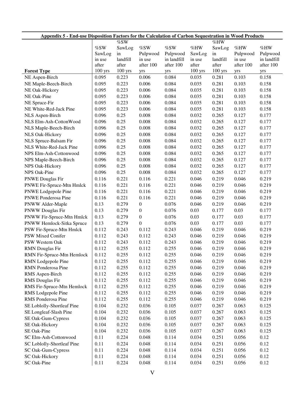| <b>Appendix 5 - End-use Disposition Factors for the Calculation of Carbon Sequestration in Wood Products</b> |           |           |                  |             |           |           |           |             |
|--------------------------------------------------------------------------------------------------------------|-----------|-----------|------------------|-------------|-----------|-----------|-----------|-------------|
|                                                                                                              |           | %SW       |                  |             |           | %HW       |           |             |
|                                                                                                              | %SW       | SawLog    | $\%$ SW          | %SW         | %HW       | SawLog    | $\%$ HW   | %HW         |
|                                                                                                              | SawLog    | in        | Pulpwood         | Pulpwood    | SawLog    | in        | Pulpwood  | Pulpwood    |
|                                                                                                              | in use    | landfill  | in use           | in landfill | in use    | landfill  | in use    | in landfill |
|                                                                                                              | after     | after     | after 100        | after 100   | after     | after     | after 100 | after 100   |
| <b>Forest Type</b>                                                                                           | $100$ yrs | $100$ yrs | yrs              | yrs         | $100$ yrs | $100$ yrs | yrs       | yrs         |
| NE Aspen-Birch                                                                                               | 0.095     | 0.223     | 0.006            | 0.084       | 0.035     | 0.281     | 0.103     | 0.158       |
| NE Maple-Beech-Birch                                                                                         | 0.095     | 0.223     | 0.006            | 0.084       | 0.035     | 0.281     | 0.103     | 0.158       |
| NE Oak-Hickory                                                                                               | 0.095     | 0.223     | 0.006            | 0.084       | 0.035     | 0.281     | 0.103     | 0.158       |
| NE Oak-Pine                                                                                                  | 0.095     | 0.223     | 0.006            | 0.084       | 0.035     | 0.281     | 0.103     | 0.158       |
| NE Spruce-Fir                                                                                                | 0.095     | 0.223     | 0.006            | 0.084       | 0.035     | 0.281     | 0.103     | 0.158       |
| NE White-Red-Jack Pine                                                                                       | 0.095     | 0.223     | 0.006            | 0.084       | 0.035     | 0.281     | 0.103     | 0.158       |
| NLS Aspen-Birch                                                                                              | 0.096     | 0.25      | 0.008            | 0.084       | 0.032     | 0.265     | 0.127     | 0.177       |
| NLS Elm-Ash-CottonWood                                                                                       | 0.096     | 0.25      | 0.008            | 0.084       | 0.032     | 0.265     | 0.127     | 0.177       |
| NLS Maple-Beech-Birch                                                                                        | 0.096     | 0.25      | 0.008            | 0.084       | 0.032     | 0.265     | 0.127     | 0.177       |
| NLS Oak-Hickory                                                                                              | 0.096     | 0.25      | 0.008            | 0.084       | 0.032     | 0.265     | 0.127     | 0.177       |
| NLS Spruce-Balsam Fir                                                                                        | 0.096     | 0.25      | 0.008            | 0.084       | 0.032     | 0.265     | 0.127     | 0.177       |
| NLS White-Red-Jack Pine                                                                                      | 0.096     | 0.25      | 0.008            | 0.084       | 0.032     | 0.265     | 0.127     | 0.177       |
| NPS Elm-Ash-Cottonwood                                                                                       | 0.096     | 0.25      | 0.008            | 0.084       | 0.032     | 0.265     | 0.127     | 0.177       |
| NPS Maple-Beech-Birch                                                                                        | 0.096     | 0.25      | 0.008            | 0.084       | 0.032     | 0.265     | 0.127     | 0.177       |
| NPS Oak-Hickory                                                                                              | 0.096     | 0.25      | 0.008            | 0.084       | 0.032     | 0.265     | 0.127     | 0.177       |
| NPS Oak-Pine                                                                                                 | 0.096     | 0.25      | 0.008            | 0.084       | 0.032     | 0.265     | 0.127     | 0.177       |
| <b>PNWE Douglas Fir</b>                                                                                      | 0.116     | 0.221     | 0.116            | 0.221       | 0.046     | 0.219     | 0.046     | 0.219       |
| PNWE Fir-Spruce-Mtn Hmlck                                                                                    | 0.116     | 0.221     | 0.116            | 0.221       | 0.046     | 0.219     | 0.046     | 0.219       |
| PNWE Lodgepole Pine                                                                                          | 0.116     | 0.221     | 0.116            | 0.221       | 0.046     | 0.219     | 0.046     | 0.219       |
| <b>PNWE</b> Ponderosa Pine                                                                                   | 0.116     | 0.221     | 0.116            | 0.221       | 0.046     | 0.219     | 0.046     | 0.219       |
| PNWW Alder-Maple                                                                                             | 0.13      | 0.279     | $\boldsymbol{0}$ | 0.076       | 0.046     | 0.219     | 0.046     | 0.219       |
| <b>PNWW Douglas Fir</b>                                                                                      | 0.13      | 0.279     | $\boldsymbol{0}$ | 0.076       | 0.03      | 0.177     | 0.03      | 0.177       |
| PNWW Fir-Spruce-Mtn Hmlck                                                                                    | 0.13      | 0.279     | $\boldsymbol{0}$ | 0.076       | 0.03      | 0.177     | 0.03      | 0.177       |
| PNWW Hemlock-Sitka Spruce                                                                                    | 0.13      | 0.279     | $\overline{0}$   | 0.076       | 0.03      | 0.177     | 0.03      | 0.177       |
| PSW Fir-Spruce-Mtn Hmlck                                                                                     | 0.112     | 0.243     | 0.112            | 0.243       | 0.046     | 0.219     | 0.046     | 0.219       |
| PSW Mixed Conifer                                                                                            | 0.112     | 0.243     | 0.112            | 0.243       | 0.046     | 0.219     | 0.046     | 0.219       |
| PSW Western Oak                                                                                              | 0.112     | 0.243     | 0.112            | 0.243       | 0.046     | 0.219     | 0.046     | 0.219       |
| <b>RMN</b> Douglas Fir                                                                                       | 0.112     | 0.255     | 0.112            | 0.255       | 0.046     | 0.219     | 0.046     | 0.219       |
| RMN Fir-Spruce-Mtn Hemlock                                                                                   | 0.112     | 0.255     | 0.112            | 0.255       | 0.046     | 0.219     | 0.046     | 0.219       |
| RMN Lodgepole Pine                                                                                           | 0.112     | 0.255     | 0.112            | 0.255       | 0.046     | 0.219     | 0.046     | 0.219       |
| <b>RMN</b> Ponderosa Pine                                                                                    | 0.112     | 0.255     | 0.112            | 0.255       | 0.046     | 0.219     | 0.046     | 0.219       |
| RMS Aspen-Birch                                                                                              | 0.112     | 0.255     | 0.112            | 0.255       | 0.046     | 0.219     | 0.046     | 0.219       |
| RMS Douglas Fir                                                                                              | 0.112     | 0.255     | 0.112            | 0.255       | 0.046     | 0.219     | 0.046     | 0.219       |
| RMS Fir-Spruce-Mtn Hemlock                                                                                   |           |           |                  |             |           | 0.219     |           |             |
|                                                                                                              | 0.112     | 0.255     | 0.112            | 0.255       | 0.046     | 0.219     | 0.046     | 0.219       |
| RMS Lodgepole Pine                                                                                           | 0.112     | 0.255     | 0.112            | 0.255       | 0.046     |           | 0.046     | 0.219       |
| RMS Ponderosa Pine                                                                                           | 0.112     | 0.255     | 0.112            | 0.255       | 0.046     | 0.219     | 0.046     | 0.219       |
| SE Loblolly-Shortleaf Pine                                                                                   | 0.104     | 0.232     | 0.036            | 0.105       | 0.037     | 0.267     | 0.063     | 0.125       |
| SE Longleaf-Slash Pine                                                                                       | 0.104     | 0.232     | 0.036            | 0.105       | 0.037     | 0.267     | 0.063     | 0.125       |
| SE Oak-Gum-Cypress                                                                                           | 0.104     | 0.232     | 0.036            | 0.105       | 0.037     | 0.267     | 0.063     | 0.125       |
| SE Oak-Hickory                                                                                               | 0.104     | 0.232     | 0.036            | 0.105       | 0.037     | 0.267     | 0.063     | 0.125       |
| SE Oak-Pine                                                                                                  | 0.104     | 0.232     | 0.036            | 0.105       | 0.037     | 0.267     | 0.063     | 0.125       |
| SC Elm-Ash-Cottonwood                                                                                        | 0.11      | 0.224     | 0.048            | 0.114       | 0.034     | 0.251     | 0.056     | 0.12        |
| SC Loblolly-Shortleaf Pine                                                                                   | 0.11      | 0.224     | 0.048            | 0.114       | 0.034     | 0.251     | 0.056     | 0.12        |
| SC Oak-Gum-Cypress                                                                                           | 0.11      | 0.224     | 0.048            | 0.114       | 0.034     | 0.251     | 0.056     | 0.12        |
| SC Oak-Hickory                                                                                               | 0.11      | 0.224     | 0.048            | 0.114       | 0.034     | 0.251     | 0.056     | 0.12        |
| SC Oak-Pine                                                                                                  | 0.11      | 0.224     | 0.048            | 0.114       | 0.034     | 0.251     | 0.056     | 0.12        |